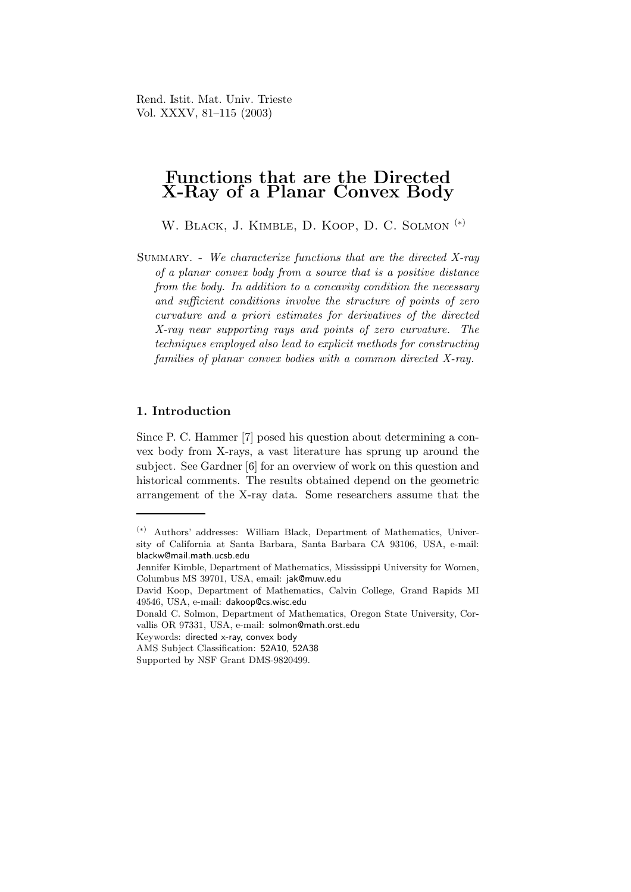Rend. Istit. Mat. Univ. Trieste Vol. XXXV, 81–115 (2003)

# Functions that are the Directed X-Ray of a Planar Convex Body

W. Black, J. Kimble, D. Koop, D. C. Solmon (∗)

SUMMARY. - We characterize functions that are the directed  $X$ -ray of a planar convex body from a source that is a positive distance from the body. In addition to a concavity condition the necessary and sufficient conditions involve the structure of points of zero curvature and a priori estimates for derivatives of the directed X-ray near supporting rays and points of zero curvature. The techniques employed also lead to explicit methods for constructing families of planar convex bodies with a common directed X-ray.

# 1. Introduction

Since P. C. Hammer [7] posed his question about determining a convex body from X-rays, a vast literature has sprung up around the subject. See Gardner [6] for an overview of work on this question and historical comments. The results obtained depend on the geometric arrangement of the X-ray data. Some researchers assume that the

<sup>(</sup>∗) Authors' addresses: William Black, Department of Mathematics, University of California at Santa Barbara, Santa Barbara CA 93106, USA, e-mail: blackw@mail.math.ucsb.edu

Jennifer Kimble, Department of Mathematics, Mississippi University for Women, Columbus MS 39701, USA, email: jak@muw.edu

David Koop, Department of Mathematics, Calvin College, Grand Rapids MI 49546, USA, e-mail: dakoop@cs.wisc.edu

Donald C. Solmon, Department of Mathematics, Oregon State University, Corvallis OR 97331, USA, e-mail: solmon@math.orst.edu

Keywords: directed x-ray, convex body

AMS Subject Classification: 52A10, 52A38

Supported by NSF Grant DMS-9820499.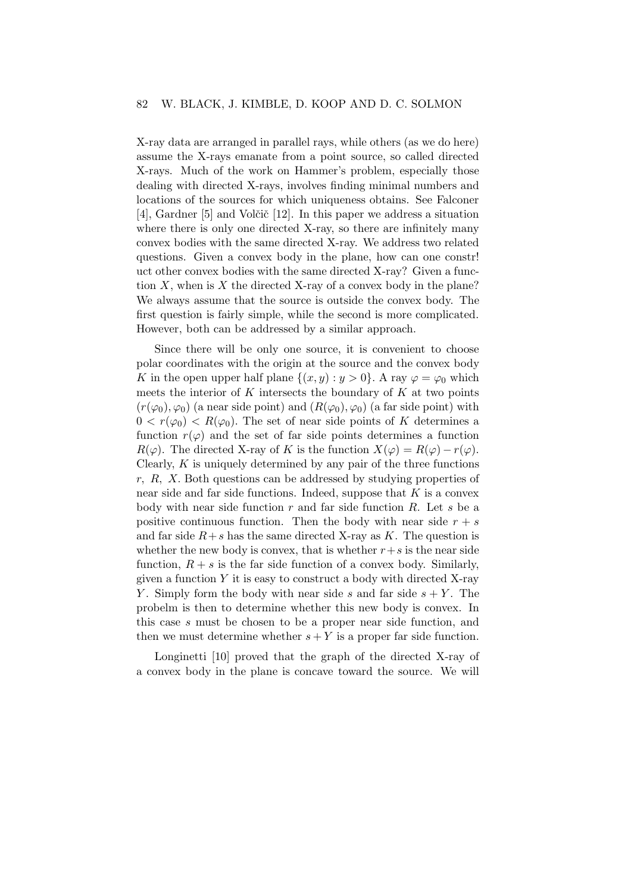X-ray data are arranged in parallel rays, while others (as we do here) assume the X-rays emanate from a point source, so called directed X-rays. Much of the work on Hammer's problem, especially those dealing with directed X-rays, involves finding minimal numbers and locations of the sources for which uniqueness obtains. See Falconer [4], Gardner [5] and Volčič [12]. In this paper we address a situation where there is only one directed X-ray, so there are infinitely many convex bodies with the same directed X-ray. We address two related questions. Given a convex body in the plane, how can one constr! uct other convex bodies with the same directed X-ray? Given a function  $X$ , when is  $X$  the directed X-ray of a convex body in the plane? We always assume that the source is outside the convex body. The first question is fairly simple, while the second is more complicated. However, both can be addressed by a similar approach.

Since there will be only one source, it is convenient to choose polar coordinates with the origin at the source and the convex body K in the open upper half plane  $\{(x,y): y > 0\}$ . A ray  $\varphi = \varphi_0$  which meets the interior of  $K$  intersects the boundary of  $K$  at two points  $(r(\varphi_0), \varphi_0)$  (a near side point) and  $(R(\varphi_0), \varphi_0)$  (a far side point) with  $0 < r(\varphi_0) < R(\varphi_0)$ . The set of near side points of K determines a function  $r(\varphi)$  and the set of far side points determines a function  $R(\varphi)$ . The directed X-ray of K is the function  $X(\varphi) = R(\varphi) - r(\varphi)$ . Clearly,  $K$  is uniquely determined by any pair of the three functions r, R, X. Both questions can be addressed by studying properties of near side and far side functions. Indeed, suppose that  $K$  is a convex body with near side function  $r$  and far side function  $R$ . Let  $s$  be a positive continuous function. Then the body with near side  $r + s$ and far side  $R+s$  has the same directed X-ray as K. The question is whether the new body is convex, that is whether  $r+s$  is the near side function,  $R + s$  is the far side function of a convex body. Similarly, given a function  $Y$  it is easy to construct a body with directed  $X$ -ray Y. Simply form the body with near side s and far side  $s + Y$ . The probelm is then to determine whether this new body is convex. In this case s must be chosen to be a proper near side function, and then we must determine whether  $s + Y$  is a proper far side function.

Longinetti [10] proved that the graph of the directed X-ray of a convex body in the plane is concave toward the source. We will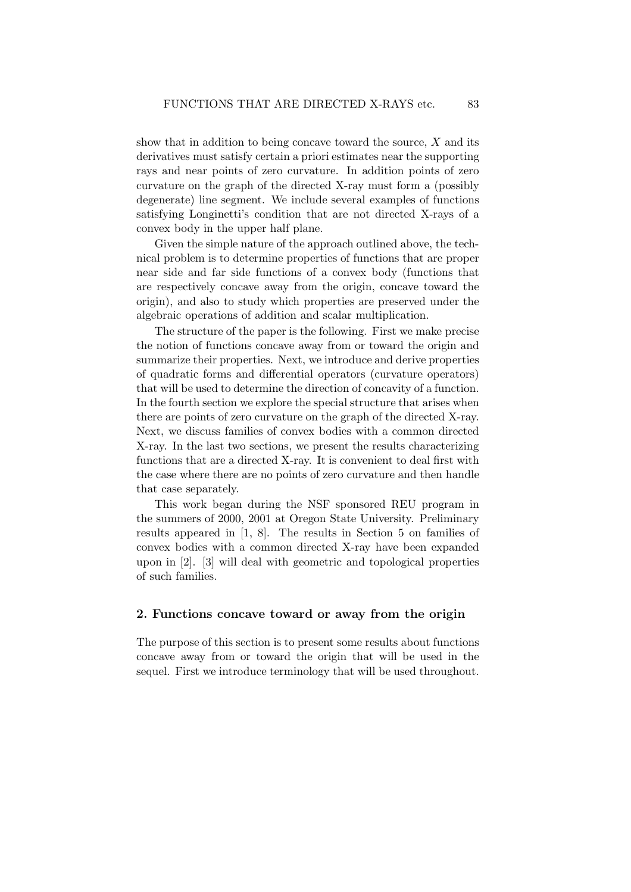show that in addition to being concave toward the source,  $X$  and its derivatives must satisfy certain a priori estimates near the supporting rays and near points of zero curvature. In addition points of zero curvature on the graph of the directed X-ray must form a (possibly degenerate) line segment. We include several examples of functions satisfying Longinetti's condition that are not directed X-rays of a convex body in the upper half plane.

Given the simple nature of the approach outlined above, the technical problem is to determine properties of functions that are proper near side and far side functions of a convex body (functions that are respectively concave away from the origin, concave toward the origin), and also to study which properties are preserved under the algebraic operations of addition and scalar multiplication.

The structure of the paper is the following. First we make precise the notion of functions concave away from or toward the origin and summarize their properties. Next, we introduce and derive properties of quadratic forms and differential operators (curvature operators) that will be used to determine the direction of concavity of a function. In the fourth section we explore the special structure that arises when there are points of zero curvature on the graph of the directed X-ray. Next, we discuss families of convex bodies with a common directed X-ray. In the last two sections, we present the results characterizing functions that are a directed X-ray. It is convenient to deal first with the case where there are no points of zero curvature and then handle that case separately.

This work began during the NSF sponsored REU program in the summers of 2000, 2001 at Oregon State University. Preliminary results appeared in [1, 8]. The results in Section 5 on families of convex bodies with a common directed X-ray have been expanded upon in [2]. [3] will deal with geometric and topological properties of such families.

#### 2. Functions concave toward or away from the origin

The purpose of this section is to present some results about functions concave away from or toward the origin that will be used in the sequel. First we introduce terminology that will be used throughout.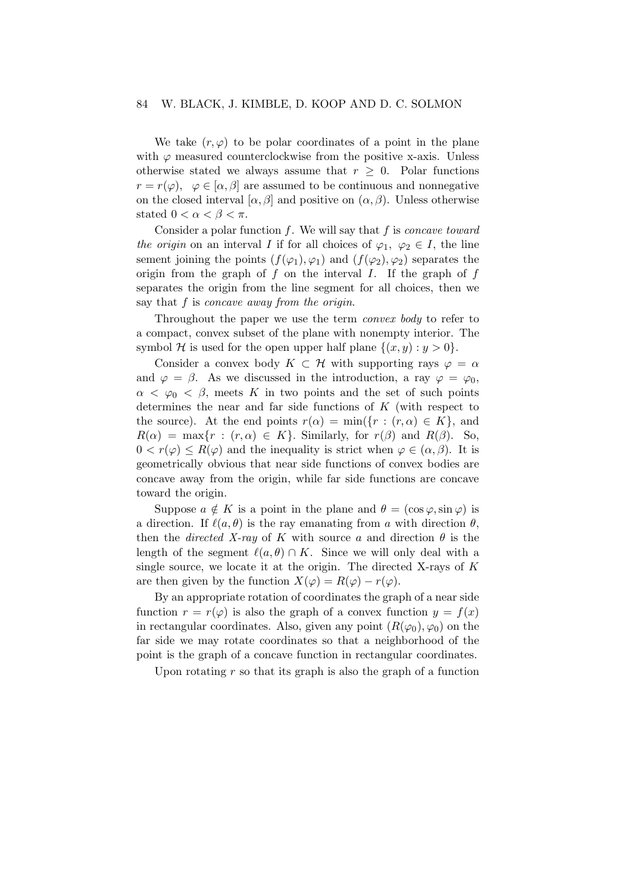#### 84 W. BLACK, J. KIMBLE, D. KOOP AND D. C. SOLMON

We take  $(r, \varphi)$  to be polar coordinates of a point in the plane with  $\varphi$  measured counterclockwise from the positive x-axis. Unless otherwise stated we always assume that  $r \geq 0$ . Polar functions  $r = r(\varphi), \varphi \in [\alpha, \beta]$  are assumed to be continuous and nonnegative on the closed interval  $[\alpha, \beta]$  and positive on  $(\alpha, \beta)$ . Unless otherwise stated  $0 < \alpha < \beta < \pi$ .

Consider a polar function  $f$ . We will say that  $f$  is *concave toward* the origin on an interval I if for all choices of  $\varphi_1, \varphi_2 \in I$ , the line sement joining the points  $(f(\varphi_1), \varphi_1)$  and  $(f(\varphi_2), \varphi_2)$  separates the origin from the graph of  $f$  on the interval  $I$ . If the graph of  $f$ separates the origin from the line segment for all choices, then we say that  $f$  is concave away from the origin.

Throughout the paper we use the term convex body to refer to a compact, convex subset of the plane with nonempty interior. The symbol H is used for the open upper half plane  $\{(x,y): y > 0\}.$ 

Consider a convex body  $K \subset \mathcal{H}$  with supporting rays  $\varphi = \alpha$ and  $\varphi = \beta$ . As we discussed in the introduction, a ray  $\varphi = \varphi_0$ ,  $\alpha < \varphi_0 < \beta$ , meets K in two points and the set of such points determines the near and far side functions of K (with respect to the source). At the end points  $r(\alpha) = \min({r : (r, \alpha) \in K}]$ , and  $R(\alpha) = \max\{r : (r, \alpha) \in K\}$ . Similarly, for  $r(\beta)$  and  $R(\beta)$ . So,  $0 < r(\varphi) \le R(\varphi)$  and the inequality is strict when  $\varphi \in (\alpha, \beta)$ . It is geometrically obvious that near side functions of convex bodies are concave away from the origin, while far side functions are concave toward the origin.

Suppose  $a \notin K$  is a point in the plane and  $\theta = (\cos \varphi, \sin \varphi)$  is a direction. If  $\ell(a, \theta)$  is the ray emanating from a with direction  $\theta$ , then the *directed X-ray* of K with source a and direction  $\theta$  is the length of the segment  $\ell(a,\theta) \cap K$ . Since we will only deal with a single source, we locate it at the origin. The directed X-rays of  $K$ are then given by the function  $X(\varphi) = R(\varphi) - r(\varphi)$ .

By an appropriate rotation of coordinates the graph of a near side function  $r = r(\varphi)$  is also the graph of a convex function  $y = f(x)$ in rectangular coordinates. Also, given any point  $(R(\varphi_0), \varphi_0)$  on the far side we may rotate coordinates so that a neighborhood of the point is the graph of a concave function in rectangular coordinates.

Upon rotating  $r$  so that its graph is also the graph of a function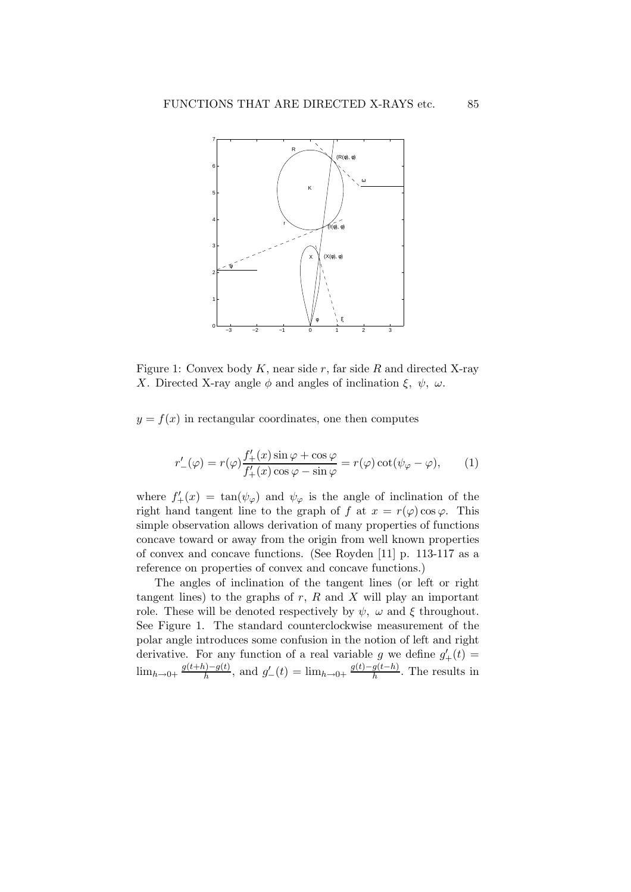

Figure 1: Convex body  $K$ , near side  $r$ , far side  $R$  and directed X-ray X. Directed X-ray angle  $\phi$  and angles of inclination  $\xi$ ,  $\psi$ ,  $\omega$ .

 $y = f(x)$  in rectangular coordinates, one then computes

$$
r'_{-}(\varphi) = r(\varphi) \frac{f'_{+}(x)\sin\varphi + \cos\varphi}{f'_{+}(x)\cos\varphi - \sin\varphi} = r(\varphi)\cot(\psi_{\varphi} - \varphi), \qquad (1)
$$

where  $f'_{+}(x) = \tan(\psi_{\varphi})$  and  $\psi_{\varphi}$  is the angle of inclination of the right hand tangent line to the graph of f at  $x = r(\varphi) \cos \varphi$ . This simple observation allows derivation of many properties of functions concave toward or away from the origin from well known properties of convex and concave functions. (See Royden [11] p. 113-117 as a reference on properties of convex and concave functions.)

The angles of inclination of the tangent lines (or left or right tangent lines) to the graphs of  $r$ ,  $R$  and  $X$  will play an important role. These will be denoted respectively by  $\psi$ ,  $\omega$  and  $\xi$  throughout. See Figure 1. The standard counterclockwise measurement of the polar angle introduces some confusion in the notion of left and right derivative. For any function of a real variable g we define  $g'_{+}(t)$  =  $\lim_{h\to 0+}\frac{g(t+h)-g(t)}{h}$  $\frac{f(h)-g(t)}{h}$ , and  $g'_{-}(t) = \lim_{h \to 0+} \frac{g(t)-g(t-h)}{h}$  $\frac{g(t-n)}{h}$ . The results in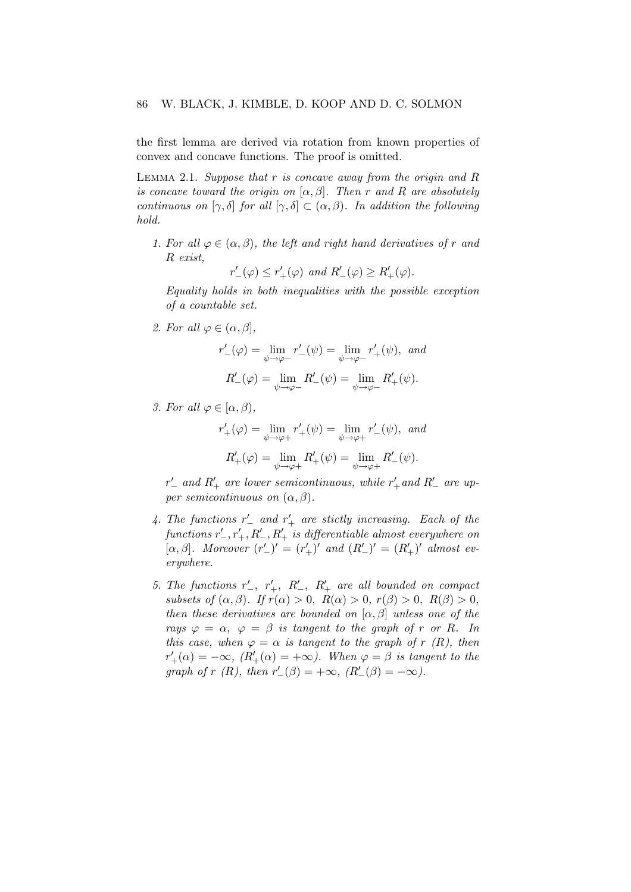the first lemma are derived via rotation from known properties of convex and concave functions. The proof is omitted.

LEMMA 2.1. Suppose that  $r$  is concave away from the origin and  $R$ is concave toward the origin on  $[\alpha, \beta]$ . Then r and R are absolutely continuous on  $[\gamma, \delta]$  for all  $[\gamma, \delta] \subset (\alpha, \beta)$ . In addition the following hold.

1. For all  $\varphi \in (\alpha, \beta)$ , the left and right hand derivatives of r and R exist,

$$
r'_{-}(\varphi) \le r'_{+}(\varphi) \text{ and } R'_{-}(\varphi) \ge R'_{+}(\varphi).
$$

Equality holds in both inequalities with the possible exception of a countable set.

2. For all  $\varphi \in (\alpha, \beta],$ 

$$
r'_{-}(\varphi) = \lim_{\psi \to \varphi^{-}} r'_{-}(\psi) = \lim_{\psi \to \varphi^{-}} r'_{+}(\psi), \text{ and}
$$

$$
R'_{-}(\varphi) = \lim_{\psi \to \varphi^{-}} R'_{-}(\psi) = \lim_{\psi \to \varphi^{-}} R'_{+}(\psi).
$$

3. For all  $\varphi \in [\alpha, \beta)$ ,

$$
r'_{+}(\varphi) = \lim_{\psi \to \varphi +} r'_{+}(\psi) = \lim_{\psi \to \varphi +} r'_{-}(\psi), \text{ and}
$$

$$
R'_{+}(\varphi) = \lim_{\psi \to \varphi +} R'_{+}(\psi) = \lim_{\psi \to \varphi +} R'_{-}(\psi).
$$

 $r'_-$  and  $R'_+$  are lower semicontinuous, while  $r'_+$  and  $R'_-$  are upper semicontinuous on  $(\alpha, \beta)$ .

- 4. The functions  $r'$  and  $r'$  are stictly increasing. Each of the  $functions \ r'_-, r'_+, R'_-, R'_+ \ is \ differentiable \ almost \ everywhere \ on$ [ $\alpha, \beta$ ]. Moreover  $(r'_{-})' = (r'_{+})'$  and  $(R'_{-})' = (R'_{+})'$  almost everywhere.
- 5. The functions  $r'_{-}$ ,  $r'_{+}$ ,  $R'_{-}$ ,  $R'_{+}$  are all bounded on compact subsets of  $(\alpha, \beta)$ . If  $r(\alpha) > 0$ ,  $R(\alpha) > 0$ ,  $r(\beta) > 0$ ,  $R(\beta) > 0$ , then these derivatives are bounded on  $[\alpha, \beta]$  unless one of the rays  $\varphi = \alpha$ ,  $\varphi = \beta$  is tangent to the graph of r or R. In this case, when  $\varphi = \alpha$  is tangent to the graph of r (R), then  $r'_{+}(\alpha) = -\infty$ ,  $(R'_{+}(\alpha) = +\infty)$ . When  $\varphi = \beta$  is tangent to the graph of r (R), then  $r'_{-}(\beta) = +\infty$ ,  $(R'_{-}(\beta) = -\infty)$ .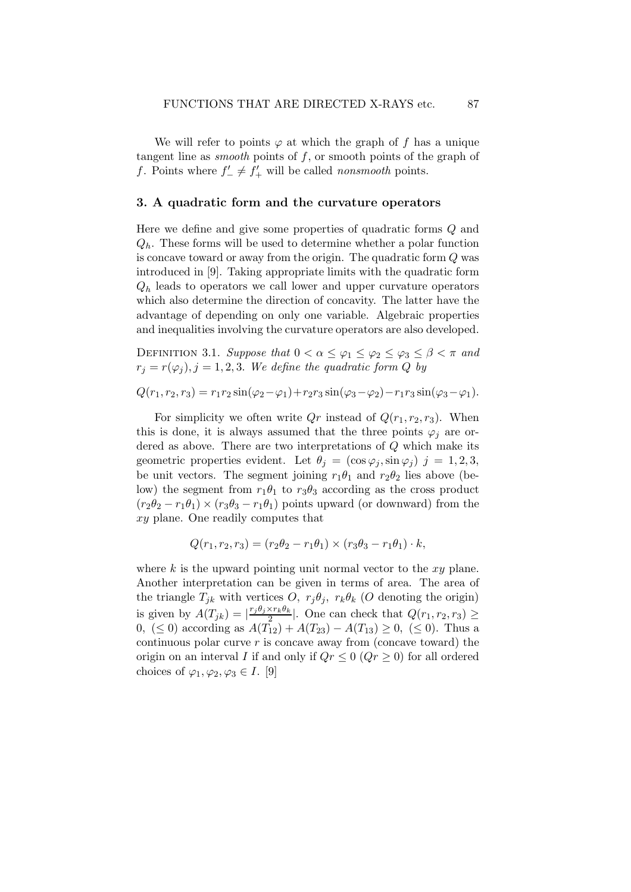We will refer to points  $\varphi$  at which the graph of f has a unique tangent line as *smooth* points of  $f$ , or smooth points of the graph of f. Points where  $f'_{-} \neq f'_{+}$  will be called *nonsmooth* points.

# 3. A quadratic form and the curvature operators

Here we define and give some properties of quadratic forms Q and  $Q_h$ . These forms will be used to determine whether a polar function is concave toward or away from the origin. The quadratic form Q was introduced in [9]. Taking appropriate limits with the quadratic form  $Q_h$  leads to operators we call lower and upper curvature operators which also determine the direction of concavity. The latter have the advantage of depending on only one variable. Algebraic properties and inequalities involving the curvature operators are also developed.

DEFINITION 3.1. Suppose that  $0 < \alpha \leq \varphi_1 \leq \varphi_2 \leq \varphi_3 \leq \beta < \pi$  and  $r_j = r(\varphi_j), j = 1, 2, 3$ . We define the quadratic form Q by

$$
Q(r_1, r_2, r_3) = r_1 r_2 \sin(\varphi_2 - \varphi_1) + r_2 r_3 \sin(\varphi_3 - \varphi_2) - r_1 r_3 \sin(\varphi_3 - \varphi_1).
$$

For simplicity we often write  $Qr$  instead of  $Q(r_1, r_2, r_3)$ . When this is done, it is always assumed that the three points  $\varphi_i$  are ordered as above. There are two interpretations of Q which make its geometric properties evident. Let  $\theta_i = (\cos \varphi_i, \sin \varphi_i)$   $j = 1, 2, 3,$ be unit vectors. The segment joining  $r_1\theta_1$  and  $r_2\theta_2$  lies above (below) the segment from  $r_1\theta_1$  to  $r_3\theta_3$  according as the cross product  $(r_2\theta_2 - r_1\theta_1) \times (r_3\theta_3 - r_1\theta_1)$  points upward (or downward) from the xy plane. One readily computes that

$$
Q(r_1, r_2, r_3) = (r_2\theta_2 - r_1\theta_1) \times (r_3\theta_3 - r_1\theta_1) \cdot k,
$$

where  $k$  is the upward pointing unit normal vector to the  $xy$  plane. Another interpretation can be given in terms of area. The area of the triangle  $T_{jk}$  with vertices O,  $r_j \theta_j$ ,  $r_k \theta_k$  (O denoting the origin) is given by  $A(T_{jk}) = |\frac{r_j \theta_j \times r_k \theta_k}{2}|$  $\frac{\sum_{i} r_{k} v_{k}}{2}$ . One can check that  $Q(r_{1}, r_{2}, r_{3}) \ge$ 0, ( $\leq$  0) according as  $A(T_{12}) + A(T_{23}) - A(T_{13}) \geq 0$ , ( $\leq$  0). Thus a continuous polar curve  $r$  is concave away from (concave toward) the origin on an interval I if and only if  $Qr \leq 0$   $(Qr \geq 0)$  for all ordered choices of  $\varphi_1, \varphi_2, \varphi_3 \in I$ . [9]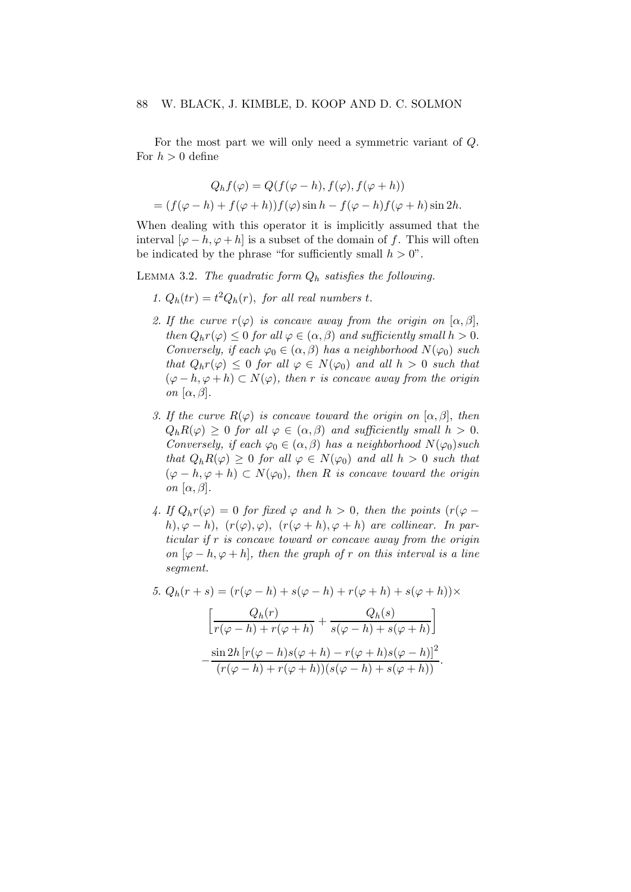For the most part we will only need a symmetric variant of Q. For  $h > 0$  define

$$
Q_h f(\varphi) = Q(f(\varphi - h), f(\varphi), f(\varphi + h))
$$
  
=  $(f(\varphi - h) + f(\varphi + h))f(\varphi)\sin h - f(\varphi - h)f(\varphi + h)\sin 2h.$ 

When dealing with this operator it is implicitly assumed that the interval  $[\varphi - h, \varphi + h]$  is a subset of the domain of f. This will often be indicated by the phrase "for sufficiently small  $h > 0$ ".

LEMMA 3.2. The quadratic form  $Q_h$  satisfies the following.

- 1.  $Q_h(tr) = t^2 Q_h(r)$ , for all real numbers t.
- 2. If the curve  $r(\varphi)$  is concave away from the origin on  $[\alpha, \beta]$ , then  $Q_h r(\varphi) \leq 0$  for all  $\varphi \in (\alpha, \beta)$  and sufficiently small  $h > 0$ . Conversely, if each  $\varphi_0 \in (\alpha, \beta)$  has a neighborhood  $N(\varphi_0)$  such that  $Q_h r(\varphi) \leq 0$  for all  $\varphi \in N(\varphi_0)$  and all  $h > 0$  such that  $(\varphi - h, \varphi + h) \subset N(\varphi)$ , then r is concave away from the origin on  $[\alpha, \beta]$ .
- 3. If the curve  $R(\varphi)$  is concave toward the origin on  $[\alpha, \beta]$ , then  $Q_h R(\varphi) \geq 0$  for all  $\varphi \in (\alpha, \beta)$  and sufficiently small  $h > 0$ . Conversely, if each  $\varphi_0 \in (\alpha, \beta)$  has a neighborhood  $N(\varphi_0)$ such that  $Q_h R(\varphi) \geq 0$  for all  $\varphi \in N(\varphi_0)$  and all  $h > 0$  such that  $(\varphi - h, \varphi + h) \subset N(\varphi_0)$ , then R is concave toward the origin on  $[\alpha, \beta]$ .
- 4. If  $Q_h r(\varphi) = 0$  for fixed  $\varphi$  and  $h > 0$ , then the points  $(r(\varphi$ h),  $\varphi - h$ ),  $(r(\varphi), \varphi)$ ,  $(r(\varphi + h), \varphi + h)$  are collinear. In particular if r is concave toward or concave away from the origin on  $[\varphi-h,\varphi+h]$ , then the graph of r on this interval is a line segment.

5. 
$$
Q_h(r+s) = (r(\varphi - h) + s(\varphi - h) + r(\varphi + h) + s(\varphi + h)) \times
$$
  
\n
$$
\left[ \frac{Q_h(r)}{1 + \varphi + \varphi} + \frac{Q_h(s)}{1 + \varphi + \varphi} \right]
$$

$$
\left[ \frac{\epsilon_n(\gamma)}{r(\varphi - h) + r(\varphi + h)} + \frac{\epsilon_n(\varphi)}{s(\varphi - h) + s(\varphi + h)} \right]
$$

$$
- \frac{\sin 2h \left[ r(\varphi - h)s(\varphi + h) - r(\varphi + h)s(\varphi - h) \right]^2}{(r(\varphi - h) + r(\varphi + h))(s(\varphi - h) + s(\varphi + h))}
$$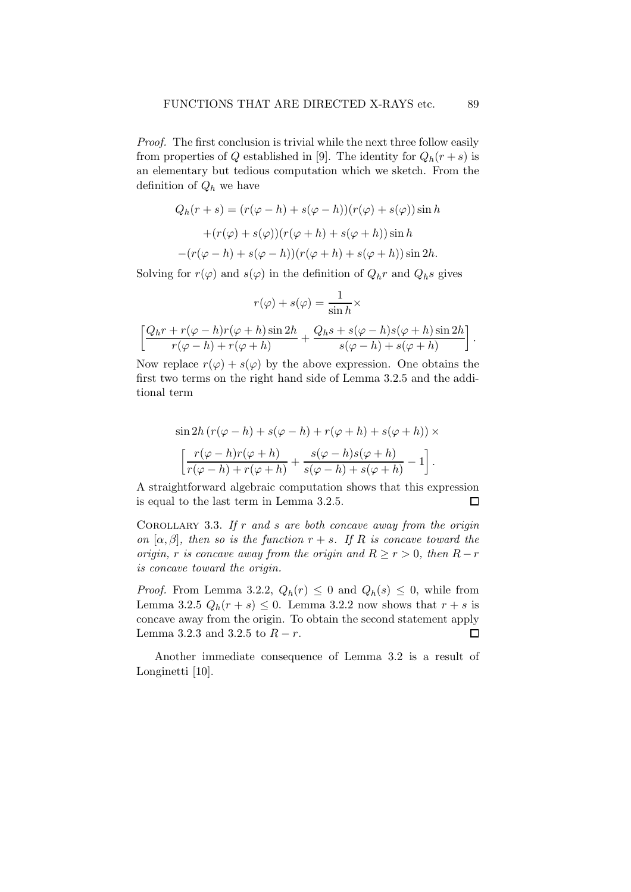Proof. The first conclusion is trivial while the next three follow easily from properties of Q established in [9]. The identity for  $Q_h(r+s)$  is an elementary but tedious computation which we sketch. From the definition of  $Q_h$  we have

$$
Q_h(r+s) = (r(\varphi - h) + s(\varphi - h))(r(\varphi) + s(\varphi))\sin h
$$

$$
+ (r(\varphi) + s(\varphi))(r(\varphi + h) + s(\varphi + h))\sin h
$$

$$
- (r(\varphi - h) + s(\varphi - h))(r(\varphi + h) + s(\varphi + h))\sin 2h.
$$

Solving for  $r(\varphi)$  and  $s(\varphi)$  in the definition of  $Q_h r$  and  $Q_h s$  gives

$$
r(\varphi) + s(\varphi) = \frac{1}{\sin h} \times
$$

$$
\left[ \frac{Q_h r + r(\varphi - h) r(\varphi + h) \sin 2h}{r(\varphi - h) + r(\varphi + h)} + \frac{Q_h s + s(\varphi - h) s(\varphi + h) \sin 2h}{s(\varphi - h) + s(\varphi + h)} \right]
$$

Now replace  $r(\varphi) + s(\varphi)$  by the above expression. One obtains the first two terms on the right hand side of Lemma 3.2.5 and the additional term

$$
\sin 2h (r(\varphi - h) + s(\varphi - h) + r(\varphi + h) + s(\varphi + h)) \times
$$

$$
\left[ \frac{r(\varphi - h)r(\varphi + h)}{r(\varphi - h) + r(\varphi + h)} + \frac{s(\varphi - h)s(\varphi + h)}{s(\varphi - h) + s(\varphi + h)} - 1 \right].
$$

A straightforward algebraic computation shows that this expression is equal to the last term in Lemma 3.2.5.  $\Box$ 

COROLLARY 3.3. If  $r$  and  $s$  are both concave away from the origin on  $[\alpha, \beta]$ , then so is the function  $r + s$ . If R is concave toward the origin, r is concave away from the origin and  $R \ge r > 0$ , then  $R - r$ is concave toward the origin.

*Proof.* From Lemma 3.2.2,  $Q_h(r) \leq 0$  and  $Q_h(s) \leq 0$ , while from Lemma 3.2.5  $Q_h(r+s) \leq 0$ . Lemma 3.2.2 now shows that  $r+s$  is concave away from the origin. To obtain the second statement apply Lemma 3.2.3 and 3.2.5 to  $R - r$ .  $\Box$ 

Another immediate consequence of Lemma 3.2 is a result of Longinetti [10].

.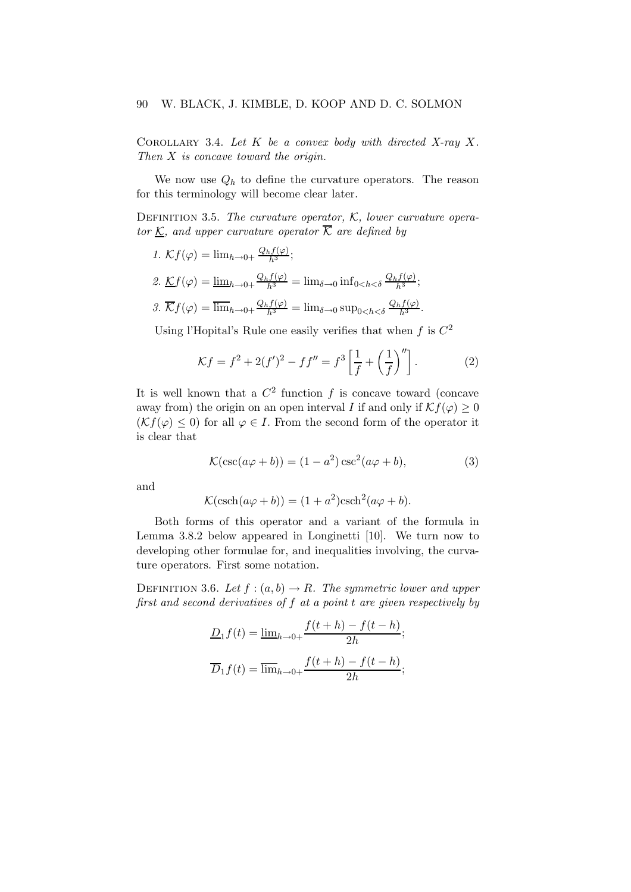COROLLARY 3.4. Let  $K$  be a convex body with directed X-ray X. Then X is concave toward the origin.

We now use  $Q_h$  to define the curvature operators. The reason for this terminology will become clear later.

DEFINITION 3.5. The curvature operator,  $K$ , lower curvature operator K, and upper curvature operator  $\overline{K}$  are defined by

1. 
$$
\mathcal{K}f(\varphi) = \lim_{h \to 0+} \frac{Q_h f(\varphi)}{h^3};
$$
  
\n2.  $\mathcal{K}f(\varphi) = \underline{\lim}_{h \to 0+} \frac{Q_h f(\varphi)}{h^3} = \lim_{\delta \to 0} \inf_{0 < h < \delta} \frac{Q_h f(\varphi)}{h^3};$   
\n3.  $\overline{\mathcal{K}}f(\varphi) = \overline{\lim}_{h \to 0+} \frac{Q_h f(\varphi)}{h^3} = \lim_{\delta \to 0} \sup_{0 < h < \delta} \frac{Q_h f(\varphi)}{h^3}.$ 

Using l'Hopital's Rule one easily verifies that when  $f$  is  $C^2$ 

$$
\mathcal{K}f = f^2 + 2(f')^2 - ff'' = f^3 \left[ \frac{1}{f} + \left( \frac{1}{f} \right)'' \right].
$$
 (2)

It is well known that a  $C^2$  function f is concave toward (concave away from) the origin on an open interval I if and only if  $\mathcal{K}f(\varphi) \geq 0$  $(\mathcal{K}f(\varphi) \leq 0)$  for all  $\varphi \in I$ . From the second form of the operator it is clear that

$$
\mathcal{K}(\csc(a\varphi + b)) = (1 - a^2)\csc^2(a\varphi + b),\tag{3}
$$

and

$$
\mathcal{K}(\operatorname{csch}(a\varphi + b)) = (1 + a^2)\operatorname{csch}^2(a\varphi + b).
$$

Both forms of this operator and a variant of the formula in Lemma 3.8.2 below appeared in Longinetti [10]. We turn now to developing other formulae for, and inequalities involving, the curvature operators. First some notation.

DEFINITION 3.6. Let  $f : (a, b) \rightarrow R$ . The symmetric lower and upper first and second derivatives of f at a point t are given respectively by

$$
\underline{D}_1 f(t) = \underline{\lim}_{h \to 0+} \frac{f(t+h) - f(t-h)}{2h};
$$

$$
\overline{D}_1 f(t) = \overline{\lim}_{h \to 0+} \frac{f(t+h) - f(t-h)}{2h};
$$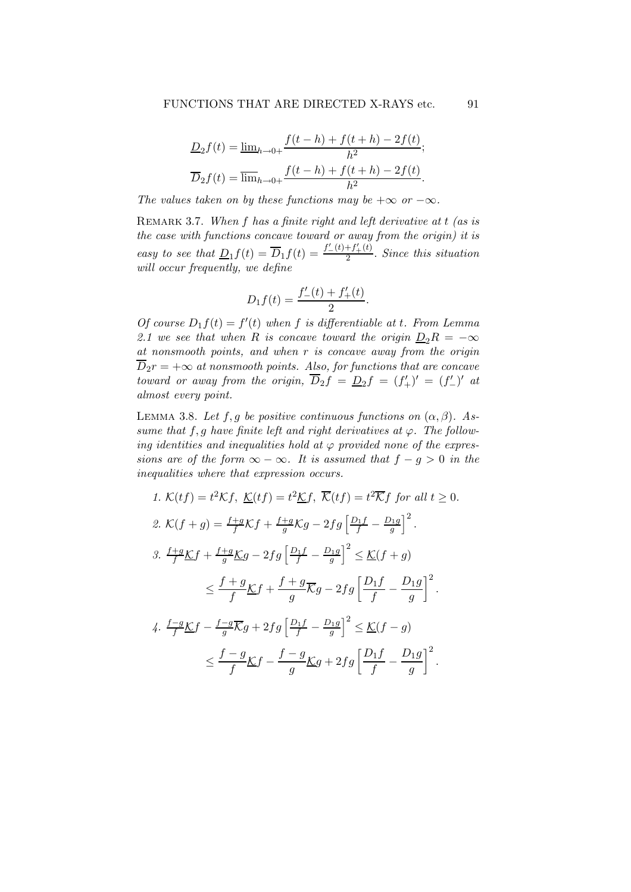$$
\underline{D}_2 f(t) = \underline{\lim}_{h \to 0+} \frac{f(t-h) + f(t+h) - 2f(t)}{h^2};
$$
  

$$
\overline{D}_2 f(t) = \overline{\lim}_{h \to 0+} \frac{f(t-h) + f(t+h) - 2f(t)}{h^2}.
$$

The values taken on by these functions may be  $+\infty$  or  $-\infty$ .

REMARK 3.7. When  $f$  has a finite right and left derivative at  $t$  (as is the case with functions concave toward or away from the origin) it is easy to see that  $\underline{D}_1 f(t) = \overline{D}_1 f(t) = \frac{f'(t) + f'(t)}{2}$  $\frac{1}{2}$ . Since this situation will occur frequently, we define

$$
D_1 f(t) = \frac{f'_-(t) + f'_+(t)}{2}.
$$

Of course  $D_1 f(t) = f'(t)$  when f is differentiable at t. From Lemma 2.1 we see that when R is concave toward the origin  $D_2R = -\infty$ at nonsmooth points, and when r is concave away from the origin  $\overline{D}_2r = +\infty$  at nonsmooth points. Also, for functions that are concave toward or away from the origin,  $\overline{D}_2 f = D_2 f = (f'_+)' = (f'_-)'$  at almost every point.

LEMMA 3.8. Let f,g be positive continuous functions on  $(\alpha, \beta)$ . Assume that f, g have finite left and right derivatives at  $\varphi$ . The following identities and inequalities hold at  $\varphi$  provided none of the expressions are of the form  $\infty - \infty$ . It is assumed that  $f - g > 0$  in the inequalities where that expression occurs.

1. 
$$
K(tf) = t^2Kf
$$
,  $\underline{K}(tf) = t^2\underline{K}f$ ,  $\overline{K}(tf) = t^2\overline{K}f$  for all  $t \ge 0$ .  
\n2.  $K(f+g) = \frac{f+g}{f}Kf + \frac{f+g}{g}Kg - 2fg\left[\frac{D_1f}{f} - \frac{D_1g}{g}\right]^2$ .  
\n3.  $\frac{f+g}{f}\underline{K}f + \frac{f+g}{g}\underline{K}g - 2fg\left[\frac{D_1f}{f} - \frac{D_1g}{g}\right]^2 \le \underline{K}(f+g)$   
\n $\le \frac{f+g}{f}\underline{K}f + \frac{f+g}{g}\overline{K}g - 2fg\left[\frac{D_1f}{f} - \frac{D_1g}{g}\right]^2$ .  
\n4.  $\frac{f-g}{f}\underline{K}f - \frac{f-g}{g}\overline{K}g + 2fg\left[\frac{D_1f}{f} - \frac{D_1g}{g}\right]^2 \le \underline{K}(f-g)$   
\n $\le \frac{f-g}{f}\underline{K}f - \frac{f-g}{g}\underline{K}g + 2fg\left[\frac{D_1f}{f} - \frac{D_1g}{g}\right]^2$ .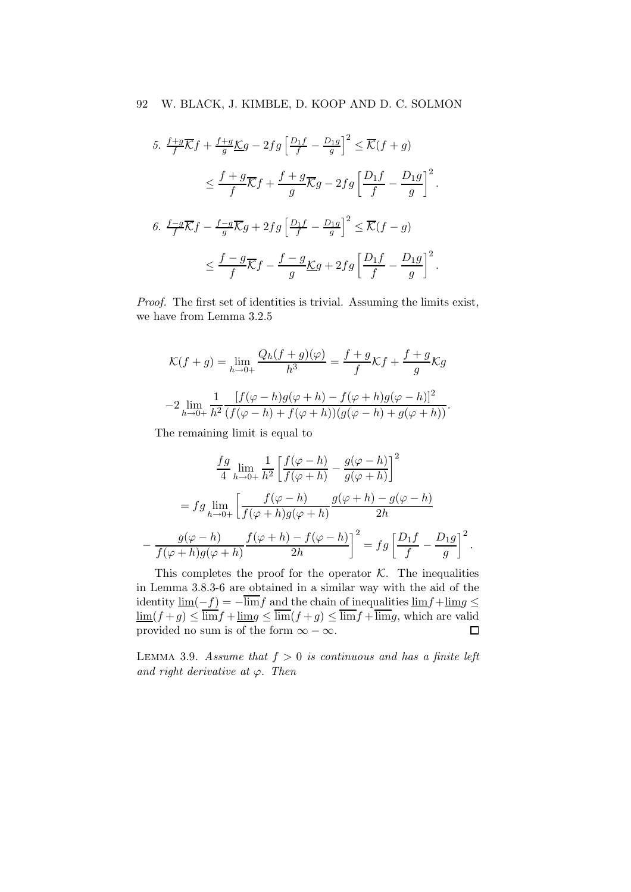$$
5. \frac{f+g}{f}\overline{\mathcal{K}}f + \frac{f+g}{g}\underline{\mathcal{K}}g - 2fg\left[\frac{D_1f}{f} - \frac{D_1g}{g}\right]^2 \leq \overline{\mathcal{K}}(f+g)
$$

$$
\leq \frac{f+g}{f}\overline{\mathcal{K}}f + \frac{f+g}{g}\overline{\mathcal{K}}g - 2fg\left[\frac{D_1f}{f} - \frac{D_1g}{g}\right]^2.
$$

$$
6. \frac{f-g}{f}\overline{\mathcal{K}}f - \frac{f-g}{g}\overline{\mathcal{K}}g + 2fg\left[\frac{D_1f}{f} - \frac{D_1g}{g}\right]^2 \leq \overline{\mathcal{K}}(f-g)
$$

$$
\leq \frac{f-g}{f}\overline{\mathcal{K}}f - \frac{f-g}{g}\underline{\mathcal{K}}g + 2fg\left[\frac{D_1f}{f} - \frac{D_1g}{g}\right]^2.
$$

Proof. The first set of identities is trivial. Assuming the limits exist, we have from Lemma 3.2.5

$$
\mathcal{K}(f+g) = \lim_{h \to 0+} \frac{Q_h(f+g)(\varphi)}{h^3} = \frac{f+g}{f}\mathcal{K}f + \frac{f+g}{g}\mathcal{K}g
$$

$$
-2\lim_{h \to 0+} \frac{1}{h^2} \frac{[f(\varphi-h)g(\varphi+h) - f(\varphi+h)g(\varphi-h)]^2}{(f(\varphi-h) + f(\varphi+h))(g(\varphi-h) + g(\varphi+h))}.
$$

The remaining limit is equal to

$$
\frac{fg}{4} \lim_{h \to 0+} \frac{1}{h^2} \left[ \frac{f(\varphi - h)}{f(\varphi + h)} - \frac{g(\varphi - h)}{g(\varphi + h)} \right]^2
$$

$$
= fg \lim_{h \to 0+} \left[ \frac{f(\varphi - h)}{f(\varphi + h)g(\varphi + h)} \frac{g(\varphi + h) - g(\varphi - h)}{2h} \right]
$$

$$
- \frac{g(\varphi - h)}{f(\varphi + h)g(\varphi + h)} \frac{f(\varphi + h) - f(\varphi - h)}{2h} = fg \left[ \frac{D_1 f}{f} - \frac{D_1 g}{g} \right]^2.
$$

This completes the proof for the operator  $K$ . The inequalities in Lemma 3.8.3-6 are obtained in a similar way with the aid of the identity  $\lim_{s \to s}(-f) = -\overline{\lim_{s \to s}}f$  and the chain of inequalities  $\lim_{s \to s} f + \lim_{s \to s} g \leq$  $\underline{\lim}(f+g) \le \overline{\lim}f + \underline{\lim}g \le \overline{\lim}(f+g) \le \overline{\lim}f + \overline{\lim}g$ , which are valid<br>provided no sum is of the form  $\infty - \infty$ . provided no sum is of the form  $\infty - \infty$ .

LEMMA 3.9. Assume that  $f > 0$  is continuous and has a finite left and right derivative at  $\varphi$ . Then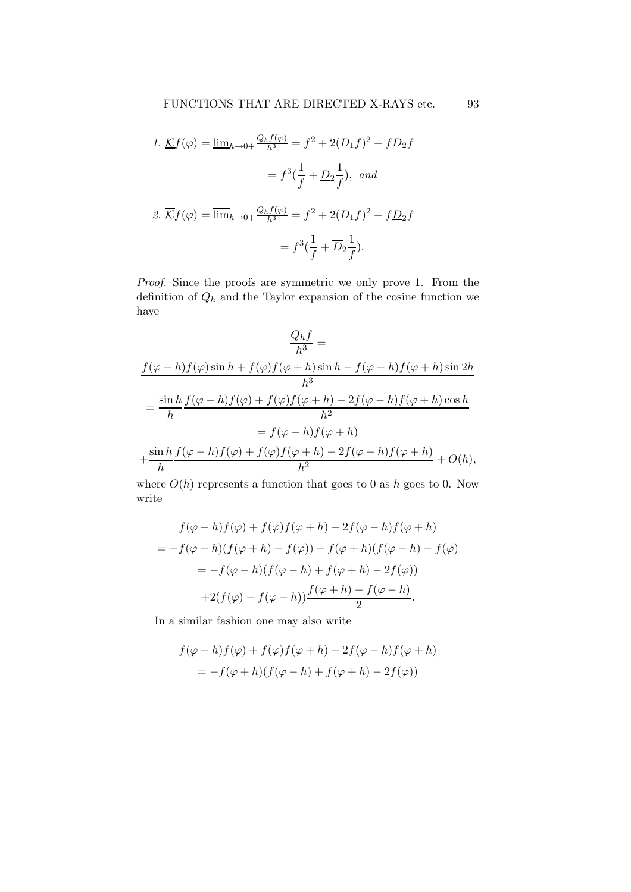1. 
$$
\mathcal{L}f(\varphi) = \underline{\lim}_{h \to 0+} \frac{Q_h f(\varphi)}{h^3} = f^2 + 2(D_1 f)^2 - f \overline{D}_2 f
$$

$$
= f^3(\frac{1}{f} + \underline{D}_2 \frac{1}{f}), \text{ and}
$$
  
2. 
$$
\overline{\mathcal{K}}f(\varphi) = \overline{\lim}_{h \to 0+} \frac{Q_h f(\varphi)}{h^3} = f^2 + 2(D_1 f)^2 - f \underline{D}_2 f
$$

$$
= f^3(\frac{1}{f} + \overline{D}_2 \frac{1}{f}).
$$

Proof. Since the proofs are symmetric we only prove 1. From the definition of  $Q_h$  and the Taylor expansion of the cosine function we have

$$
\frac{Q_h f}{h^3} =
$$
\n
$$
\frac{f(\varphi - h)f(\varphi)\sin h + f(\varphi)f(\varphi + h)\sin h - f(\varphi - h)f(\varphi + h)\sin 2h}{h^3}
$$
\n
$$
= \frac{\sin h f(\varphi - h)f(\varphi) + f(\varphi)f(\varphi + h) - 2f(\varphi - h)f(\varphi + h)\cos h}{h^2}
$$
\n
$$
= f(\varphi - h)f(\varphi + h)
$$
\n
$$
+ \frac{\sin h f(\varphi - h)f(\varphi) + f(\varphi)f(\varphi + h) - 2f(\varphi - h)f(\varphi + h)}{h^2} + O(h),
$$

where  $O(h)$  represents a function that goes to 0 as h goes to 0. Now write

$$
f(\varphi - h)f(\varphi) + f(\varphi)f(\varphi + h) - 2f(\varphi - h)f(\varphi + h)
$$
  
=  $-f(\varphi - h)(f(\varphi + h) - f(\varphi)) - f(\varphi + h)(f(\varphi - h) - f(\varphi))$   
=  $-f(\varphi - h)(f(\varphi - h) + f(\varphi + h) - 2f(\varphi))$   
+  $2(f(\varphi) - f(\varphi - h)) \frac{f(\varphi + h) - f(\varphi - h)}{2}$ .

In a similar fashion one may also write

$$
f(\varphi - h)f(\varphi) + f(\varphi)f(\varphi + h) - 2f(\varphi - h)f(\varphi + h)
$$
  
=  $-f(\varphi + h)(f(\varphi - h) + f(\varphi + h) - 2f(\varphi))$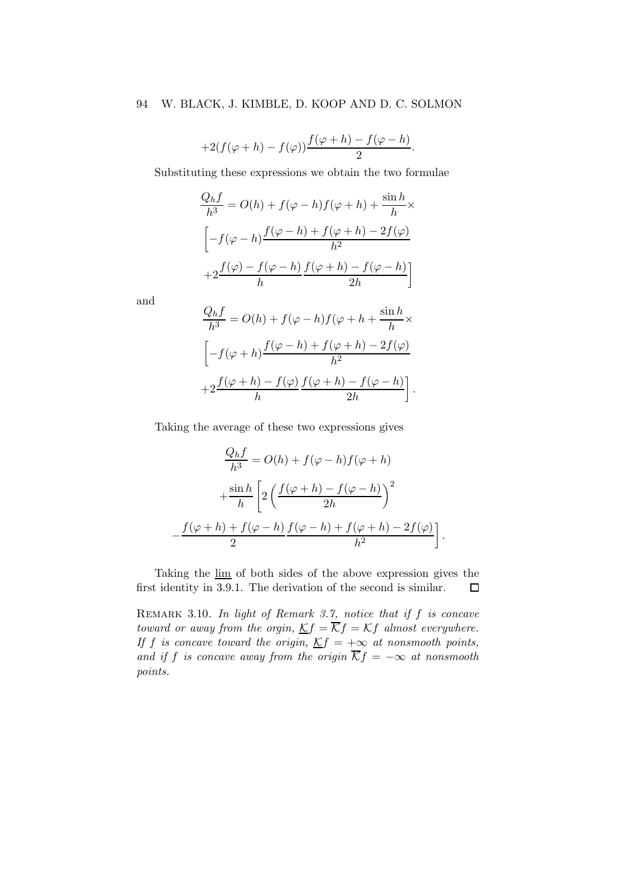#### 94 W. BLACK, J. KIMBLE, D. KOOP AND D. C. SOLMON

$$
+2(f(\varphi+h)-f(\varphi))\frac{f(\varphi+h)-f(\varphi-h)}{2}.
$$

Substituting these expressions we obtain the two formulae

$$
\frac{Q_h f}{h^3} = O(h) + f(\varphi - h)f(\varphi + h) + \frac{\sin h}{h} \times
$$

$$
\left[ -f(\varphi - h) \frac{f(\varphi - h) + f(\varphi + h) - 2f(\varphi)}{h^2} + 2 \frac{f(\varphi) - f(\varphi - h)}{h} \frac{f(\varphi + h) - f(\varphi - h)}{2h} \right]
$$

and

−

$$
\frac{Q_h f}{h^3} = O(h) + f(\varphi - h)f(\varphi + h + \frac{\sin h}{h} \times
$$

$$
\left[ -f(\varphi + h) \frac{f(\varphi - h) + f(\varphi + h) - 2f(\varphi)}{h^2} + 2\frac{f(\varphi + h) - f(\varphi)}{h} \frac{f(\varphi + h) - f(\varphi - h)}{2h} \right].
$$

Taking the average of these two expressions gives

$$
\frac{Q_h f}{h^3} = O(h) + f(\varphi - h)f(\varphi + h)
$$

$$
+ \frac{\sin h}{h} \left[ 2\left(\frac{f(\varphi + h) - f(\varphi - h)}{2h}\right)^2 \right]
$$

$$
- \frac{f(\varphi + h) + f(\varphi - h)}{2} \frac{f(\varphi - h) + f(\varphi + h) - 2f(\varphi)}{h^2} \right].
$$

Taking the lim of both sides of the above expression gives the first identity in 3.9.1. The derivation of the second is similar.  $\Box$ 

REMARK 3.10. In light of Remark 3.7, notice that if  $f$  is concave toward or away from the orgin,  $Kf = \overline{K}f = Kf$  almost everywhere. If f is concave toward the origin,  $Kf = +\infty$  at nonsmooth points, and if f is concave away from the origin  $\overline{\mathcal{K}}f = -\infty$  at nonsmooth points.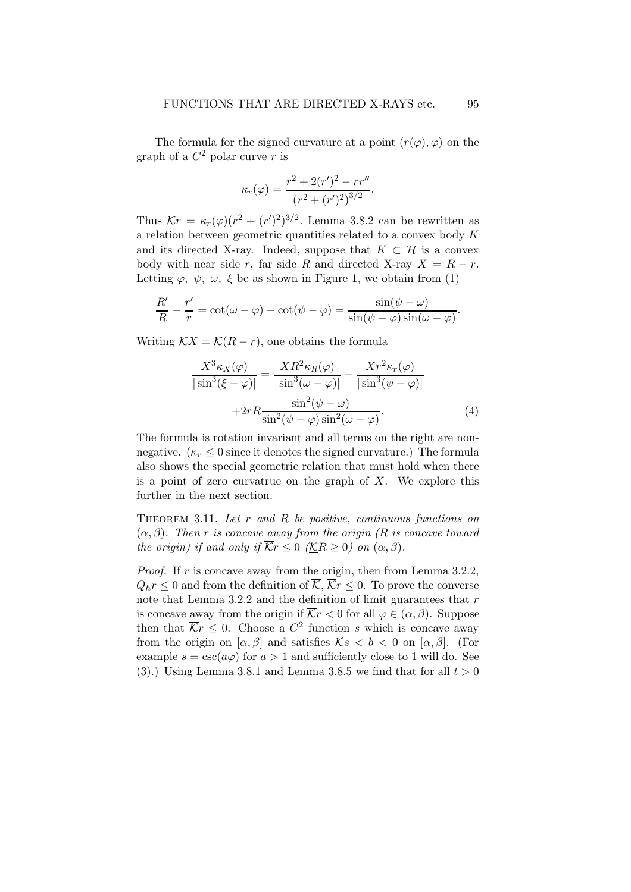The formula for the signed curvature at a point  $(r(\varphi), \varphi)$  on the graph of a  $C^2$  polar curve r is

$$
\kappa_r(\varphi) = \frac{r^2 + 2(r')^2 - rr''}{(r^2 + (r')^2)^{3/2}}.
$$

Thus  $\mathcal{K}r = \kappa_r(\varphi)(r^2 + (r')^2)^{3/2}$ . Lemma 3.8.2 can be rewritten as a relation between geometric quantities related to a convex body K and its directed X-ray. Indeed, suppose that  $K \subset \mathcal{H}$  is a convex body with near side r, far side R and directed X-ray  $X = R - r$ . Letting  $\varphi, \psi, \omega, \xi$  be as shown in Figure 1, we obtain from (1)

$$
\frac{R'}{R} - \frac{r'}{r} = \cot(\omega - \varphi) - \cot(\psi - \varphi) = \frac{\sin(\psi - \omega)}{\sin(\psi - \varphi)\sin(\omega - \varphi)}.
$$

Writing  $\mathcal{K}X = \mathcal{K}(R-r)$ , one obtains the formula

$$
\frac{X^3 \kappa_X(\varphi)}{|\sin^3(\xi - \varphi)|} = \frac{XR^2 \kappa_R(\varphi)}{|\sin^3(\omega - \varphi)|} - \frac{Xr^2 \kappa_r(\varphi)}{|\sin^3(\psi - \varphi)|} + 2rR \frac{\sin^2(\psi - \omega)}{\sin^2(\psi - \varphi)\sin^2(\omega - \varphi)}.
$$
\n(4)

The formula is rotation invariant and all terms on the right are nonnegative.  $(\kappa_r \leq 0$  since it denotes the signed curvature.) The formula also shows the special geometric relation that must hold when there is a point of zero curvatrue on the graph of  $X$ . We explore this further in the next section.

THEOREM 3.11. Let  $r$  and  $R$  be positive, continuous functions on  $(\alpha, \beta)$ . Then r is concave away from the origin (R is concave toward the origin) if and only if  $\overline{K}r \leq 0$  ( $\underline{K}R \geq 0$ ) on  $(\alpha, \beta)$ .

*Proof.* If  $r$  is concave away from the origin, then from Lemma 3.2.2,  $Q_h r \leq 0$  and from the definition of  $\overline{\mathcal{K}}, \overline{\mathcal{K}}r \leq 0$ . To prove the converse note that Lemma 3.2.2 and the definition of limit guarantees that  $r$ is concave away from the origin if  $\overline{\mathcal{K}}r < 0$  for all  $\varphi \in (\alpha, \beta)$ . Suppose then that  $\overline{\mathcal{K}}r \leq 0$ . Choose a  $C^2$  function s which is concave away from the origin on  $[\alpha, \beta]$  and satisfies  $\mathcal{K}s < b < 0$  on  $[\alpha, \beta]$ . (For example  $s = \csc(a\varphi)$  for  $a > 1$  and sufficiently close to 1 will do. See (3).) Using Lemma 3.8.1 and Lemma 3.8.5 we find that for all  $t > 0$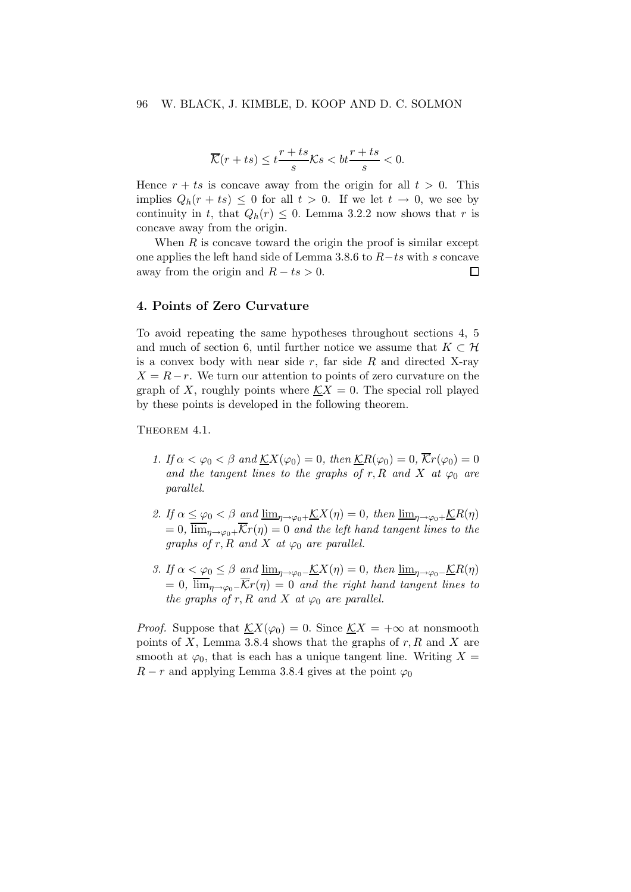$$
\overline{\mathcal{K}}(r+ts) \le t\frac{r+ts}{s}\mathcal{K}s < bt\frac{r+ts}{s} < 0.
$$

Hence  $r + ts$  is concave away from the origin for all  $t > 0$ . This implies  $Q_h(r + ts) \leq 0$  for all  $t > 0$ . If we let  $t \to 0$ , we see by continuity in t, that  $Q_h(r) \leq 0$ . Lemma 3.2.2 now shows that r is concave away from the origin.

When  $R$  is concave toward the origin the proof is similar except one applies the left hand side of Lemma 3.8.6 to  $R$ −ts with s concave away from the origin and  $R$  − ts > 0. away from the origin and  $R - ts > 0$ .

#### 4. Points of Zero Curvature

To avoid repeating the same hypotheses throughout sections 4, 5 and much of section 6, until further notice we assume that  $K \subset \mathcal{H}$ is a convex body with near side  $r$ , far side  $R$  and directed X-ray  $X = R - r$ . We turn our attention to points of zero curvature on the graph of X, roughly points where  $\mathcal{K}X = 0$ . The special roll played by these points is developed in the following theorem.

THEOREM 4.1.

- 1. If  $\alpha < \varphi_0 < \beta$  and  $\mathcal{K}X(\varphi_0) = 0$ , then  $\mathcal{K}R(\varphi_0) = 0$ ,  $\overline{\mathcal{K}}r(\varphi_0) = 0$ and the tangent lines to the graphs of r, R and X at  $\varphi_0$  are parallel.
- 2. If  $\alpha \leq \varphi_0 < \beta$  and  $\underline{\lim}_{\eta \to \varphi_0 +} \underline{\mathcal{K}}X(\eta) = 0$ , then  $\underline{\lim}_{\eta \to \varphi_0 +} \underline{\mathcal{K}}R(\eta)$  $= 0, \overline{\lim}_{\eta \to \varphi_0+} \overline{\mathcal{K}}r(\eta) = 0$  and the left hand tangent lines to the graphs of r, R and X at  $\varphi_0$  are parallel.
- 3. If  $\alpha < \varphi_0 \leq \beta$  and  $\underline{\lim}_{\eta \to \varphi_0 -} \underline{\mathcal{K}}X(\eta) = 0$ , then  $\underline{\lim}_{\eta \to \varphi_0 -} \underline{\mathcal{K}}R(\eta)$  $= 0$ ,  $\overline{\lim}_{n\to\infty} \overline{\mathcal{K}}(r(n)) = 0$  and the right hand tangent lines to the graphs of r, R and X at  $\varphi_0$  are parallel.

*Proof.* Suppose that  $\mathcal{K}X(\varphi_0) = 0$ . Since  $\mathcal{K}X = +\infty$  at nonsmooth points of  $X$ , Lemma 3.8.4 shows that the graphs of  $r, R$  and  $X$  are smooth at  $\varphi_0$ , that is each has a unique tangent line. Writing  $X =$  $R - r$  and applying Lemma 3.8.4 gives at the point  $\varphi_0$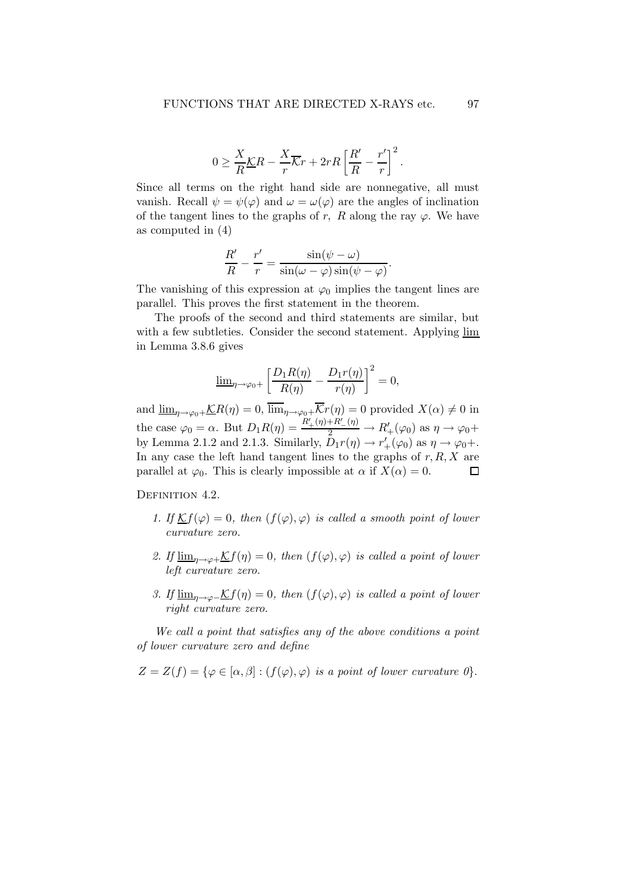$$
0 \ge \frac{X}{R}\underline{\mathcal{K}}R - \frac{X}{r}\overline{\mathcal{K}}r + 2rR\left[\frac{R'}{R} - \frac{r'}{r}\right]^2.
$$

Since all terms on the right hand side are nonnegative, all must vanish. Recall  $\psi = \psi(\varphi)$  and  $\omega = \omega(\varphi)$  are the angles of inclination of the tangent lines to the graphs of r, R along the ray  $\varphi$ . We have as computed in (4)

$$
\frac{R'}{R} - \frac{r'}{r} = \frac{\sin(\psi - \omega)}{\sin(\omega - \varphi)\sin(\psi - \varphi)}.
$$

The vanishing of this expression at  $\varphi_0$  implies the tangent lines are parallel. This proves the first statement in the theorem.

The proofs of the second and third statements are similar, but with a few subtleties. Consider the second statement. Applying lim in Lemma 3.8.6 gives

$$
\underline{\lim}_{\eta \to \varphi_0+} \left[ \frac{D_1 R(\eta)}{R(\eta)} - \frac{D_1 r(\eta)}{r(\eta)} \right]^2 = 0,
$$

and  $\underline{\lim}_{\eta\to\varphi_0+}\underline{\mathcal{K}}R(\eta)=0$ ,  $\overline{\lim}_{\eta\to\varphi_0+}\overline{\mathcal{K}}r(\eta)=0$  provided  $X(\alpha)\neq 0$  in the case  $\varphi_0 = \alpha$ . But  $D_1 R(\eta) = \frac{R'_+(\eta) + R'_-(\eta)}{2} \rightarrow R'_+(\varphi_0)$  as  $\eta \rightarrow \varphi_0 +$ by Lemma 2.1.2 and 2.1.3. Similarly,  $\tilde{D}_1 r(\eta) \to r'_+(\varphi_0)$  as  $\eta \to \varphi_0 +$ . In any case the left hand tangent lines to the graphs of  $r, R, X$  are parallel at  $\varphi_0$ . This is clearly impossible at  $\alpha$  if  $X(\alpha) = 0$ .  $\Box$ 

DEFINITION 4.2.

- 1. If  $\mathcal{K}f(\varphi) = 0$ , then  $(f(\varphi), \varphi)$  is called a smooth point of lower curvature zero.
- 2. If  $\underline{\lim}_{\eta\to\varphi+\mathcal{K}}f(\eta)=0$ , then  $(f(\varphi),\varphi)$  is called a point of lower left curvature zero.
- 3. If  $\underline{\lim}_{\eta \to \varphi^-} \mathcal{K}f(\eta) = 0$ , then  $(f(\varphi), \varphi)$  is called a point of lower right curvature zero.

We call a point that satisfies any of the above conditions a point of lower curvature zero and define

 $Z = Z(f) = {\varphi \in [\alpha, \beta] : (f(\varphi), \varphi)$  is a point of lower curvature  $\theta$ .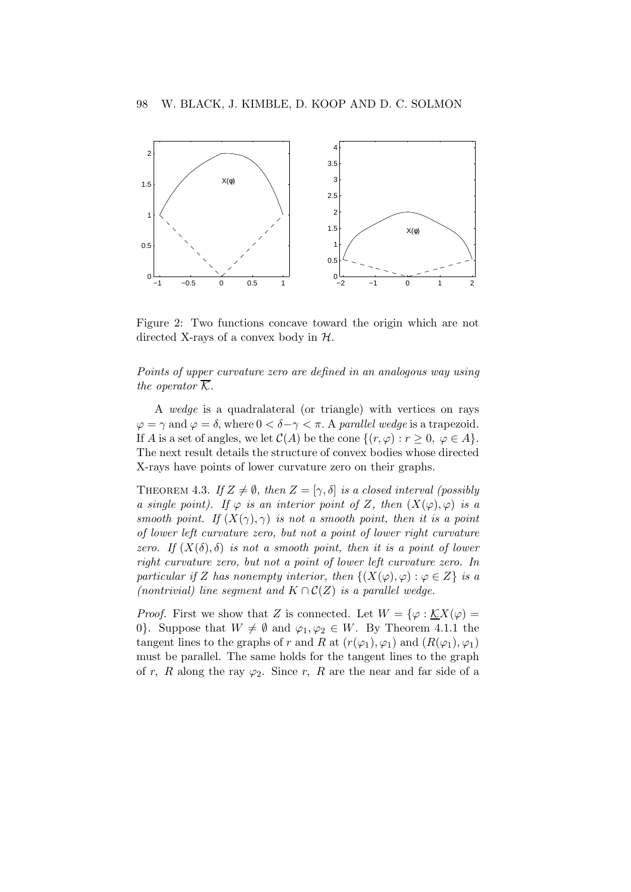

Figure 2: Two functions concave toward the origin which are not directed X-rays of a convex body in  $H$ .

Points of upper curvature zero are defined in an analogous way using the operator  $\overline{\mathcal{K}}$ .

A wedge is a quadralateral (or triangle) with vertices on rays  $\varphi = \gamma$  and  $\varphi = \delta$ , where  $0 < \delta - \gamma < \pi$ . A parallel wedge is a trapezoid. If A is a set of angles, we let  $C(A)$  be the cone  $\{(r,\varphi): r \geq 0, \varphi \in A\}.$ The next result details the structure of convex bodies whose directed X-rays have points of lower curvature zero on their graphs.

THEOREM 4.3. If  $Z \neq \emptyset$ , then  $Z = [\gamma, \delta]$  is a closed interval (possibly a single point). If  $\varphi$  is an interior point of Z, then  $(X(\varphi), \varphi)$  is a smooth point. If  $(X(\gamma), \gamma)$  is not a smooth point, then it is a point of lower left curvature zero, but not a point of lower right curvature zero. If  $(X(\delta), \delta)$  is not a smooth point, then it is a point of lower right curvature zero, but not a point of lower left curvature zero. In particular if Z has nonempty interior, then  $\{(X(\varphi), \varphi) : \varphi \in Z\}$  is a (nontrivial) line segment and  $K \cap C(Z)$  is a parallel wedge.

*Proof.* First we show that Z is connected. Let  $W = \{ \varphi : \underline{K}X(\varphi) =$ 0}. Suppose that  $W \neq \emptyset$  and  $\varphi_1, \varphi_2 \in W$ . By Theorem 4.1.1 the tangent lines to the graphs of r and R at  $(r(\varphi_1), \varphi_1)$  and  $(R(\varphi_1), \varphi_1)$ must be parallel. The same holds for the tangent lines to the graph of r, R along the ray  $\varphi_2$ . Since r, R are the near and far side of a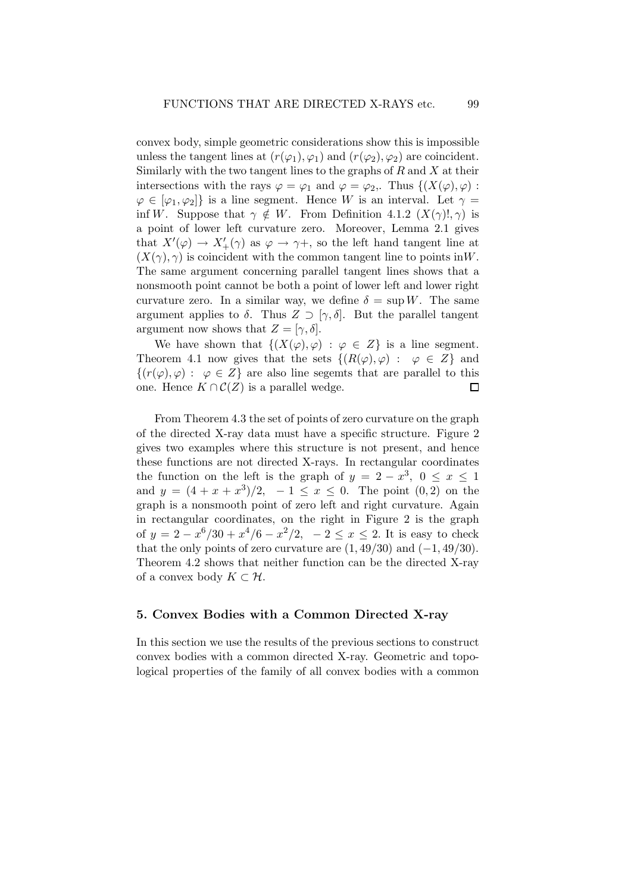convex body, simple geometric considerations show this is impossible unless the tangent lines at  $(r(\varphi_1), \varphi_1)$  and  $(r(\varphi_2), \varphi_2)$  are coincident. Similarly with the two tangent lines to the graphs of  $R$  and  $X$  at their intersections with the rays  $\varphi = \varphi_1$  and  $\varphi = \varphi_2$ . Thus  $\{(X(\varphi), \varphi) :$  $\varphi \in [\varphi_1, \varphi_2]$  is a line segment. Hence W is an interval. Let  $\gamma =$ inf W. Suppose that  $\gamma \notin W$ . From Definition 4.1.2  $(X(\gamma)!, \gamma)$  is a point of lower left curvature zero. Moreover, Lemma 2.1 gives that  $X'(\varphi) \to X'_{+}(\gamma)$  as  $\varphi \to \gamma +$ , so the left hand tangent line at  $(X(\gamma),\gamma)$  is coincident with the common tangent line to points in W. The same argument concerning parallel tangent lines shows that a nonsmooth point cannot be both a point of lower left and lower right curvature zero. In a similar way, we define  $\delta = \sup W$ . The same argument applies to  $\delta$ . Thus  $Z \supset [\gamma, \delta]$ . But the parallel tangent argument now shows that  $Z = [\gamma, \delta].$ 

We have shown that  $\{(X(\varphi), \varphi) : \varphi \in Z\}$  is a line segment. Theorem 4.1 now gives that the sets  $\{(R(\varphi), \varphi) : \varphi \in Z\}$  and  $\{(r(\varphi), \varphi) : \varphi \in Z\}$  are also line segemts that are parallel to this one. Hence  $K \cap C(Z)$  is a parallel wedge. one. Hence  $K \cap C(Z)$  is a parallel wedge.

From Theorem 4.3 the set of points of zero curvature on the graph of the directed X-ray data must have a specific structure. Figure 2 gives two examples where this structure is not present, and hence these functions are not directed X-rays. In rectangular coordinates the function on the left is the graph of  $y = 2 - x^3$ ,  $0 \le x \le 1$ and  $y = (4 + x + x^3)/2$ ,  $-1 \le x \le 0$ . The point  $(0, 2)$  on the graph is a nonsmooth point of zero left and right curvature. Again in rectangular coordinates, on the right in Figure 2 is the graph of  $y = 2 - x^6/30 + x^4/6 - x^2/2$ ,  $-2 \le x \le 2$ . It is easy to check that the only points of zero curvature are  $(1, 49/30)$  and  $(-1, 49/30)$ . Theorem 4.2 shows that neither function can be the directed X-ray of a convex body  $K \subset \mathcal{H}$ .

## 5. Convex Bodies with a Common Directed X-ray

In this section we use the results of the previous sections to construct convex bodies with a common directed X-ray. Geometric and topological properties of the family of all convex bodies with a common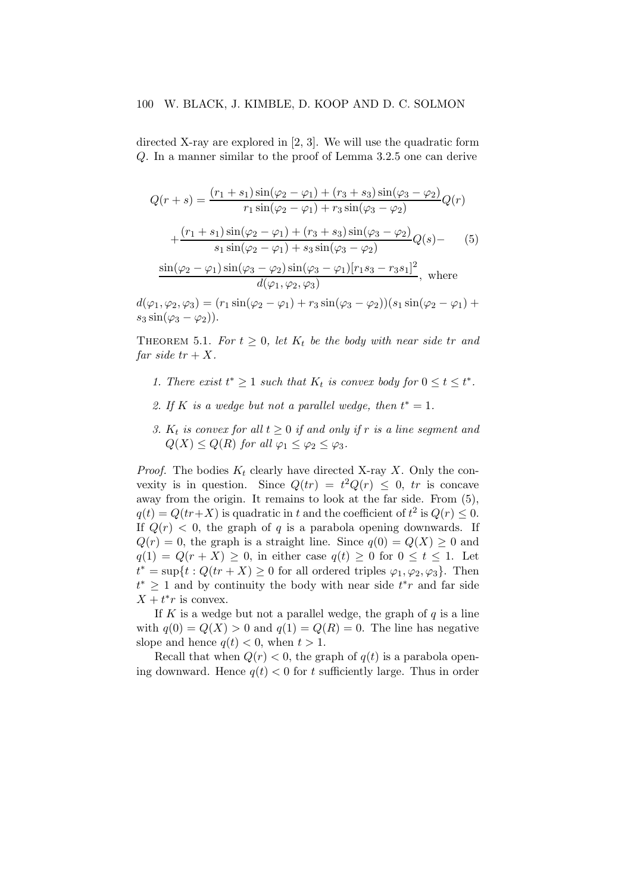directed X-ray are explored in [2, 3]. We will use the quadratic form Q. In a manner similar to the proof of Lemma 3.2.5 one can derive

$$
Q(r+s) = \frac{(r_1 + s_1)\sin(\varphi_2 - \varphi_1) + (r_3 + s_3)\sin(\varphi_3 - \varphi_2)}{r_1\sin(\varphi_2 - \varphi_1) + r_3\sin(\varphi_3 - \varphi_2)}Q(r) + \frac{(r_1 + s_1)\sin(\varphi_2 - \varphi_1) + (r_3 + s_3)\sin(\varphi_3 - \varphi_2)}{s_1\sin(\varphi_2 - \varphi_1) + s_3\sin(\varphi_3 - \varphi_2)}Q(s) - (5) \frac{\sin(\varphi_2 - \varphi_1)\sin(\varphi_3 - \varphi_2)\sin(\varphi_3 - \varphi_1)[r_1s_3 - r_3s_1]^2}{d(\varphi_1, \varphi_2, \varphi_3)}, \text{ where}
$$

 $d(\varphi_1, \varphi_2, \varphi_3) = (r_1 \sin(\varphi_2 - \varphi_1) + r_3 \sin(\varphi_3 - \varphi_2))(s_1 \sin(\varphi_2 - \varphi_1) +$  $s_3 \sin(\varphi_3 - \varphi_2)$ ).

THEOREM 5.1. For  $t \geq 0$ , let  $K_t$  be the body with near side tr and far side  $tr + X$ .

- 1. There exist  $t^* \geq 1$  such that  $K_t$  is convex body for  $0 \leq t \leq t^*$ .
- 2. If K is a wedge but not a parallel wedge, then  $t^* = 1$ .
- 3.  $K_t$  is convex for all  $t \geq 0$  if and only if r is a line segment and  $Q(X) \leq Q(R)$  for all  $\varphi_1 \leq \varphi_2 \leq \varphi_3$ .

*Proof.* The bodies  $K_t$  clearly have directed X-ray X. Only the convexity is in question. Since  $Q(tr) = t^2 Q(r) \leq 0$ , tr is concave away from the origin. It remains to look at the far side. From (5),  $q(t) = Q(tr+X)$  is quadratic in t and the coefficient of  $t^2$  is  $Q(r) \leq 0$ . If  $Q(r) < 0$ , the graph of q is a parabola opening downwards. If  $Q(r) = 0$ , the graph is a straight line. Since  $q(0) = Q(X) \geq 0$  and  $q(1) = Q(r+X) \geq 0$ , in either case  $q(t) \geq 0$  for  $0 \leq t \leq 1$ . Let  $t^* = \sup\{t : Q(tr + X) \geq 0$  for all ordered triples  $\varphi_1, \varphi_2, \varphi_3\}$ . Then  $t^*$  ≥ 1 and by continuity the body with near side  $t^*r$  and far side  $X + t^*r$  is convex.

If K is a wedge but not a parallel wedge, the graph of  $q$  is a line with  $q(0) = Q(X) > 0$  and  $q(1) = Q(R) = 0$ . The line has negative slope and hence  $q(t) < 0$ , when  $t > 1$ .

Recall that when  $Q(r) < 0$ , the graph of  $q(t)$  is a parabola opening downward. Hence  $q(t) < 0$  for t sufficiently large. Thus in order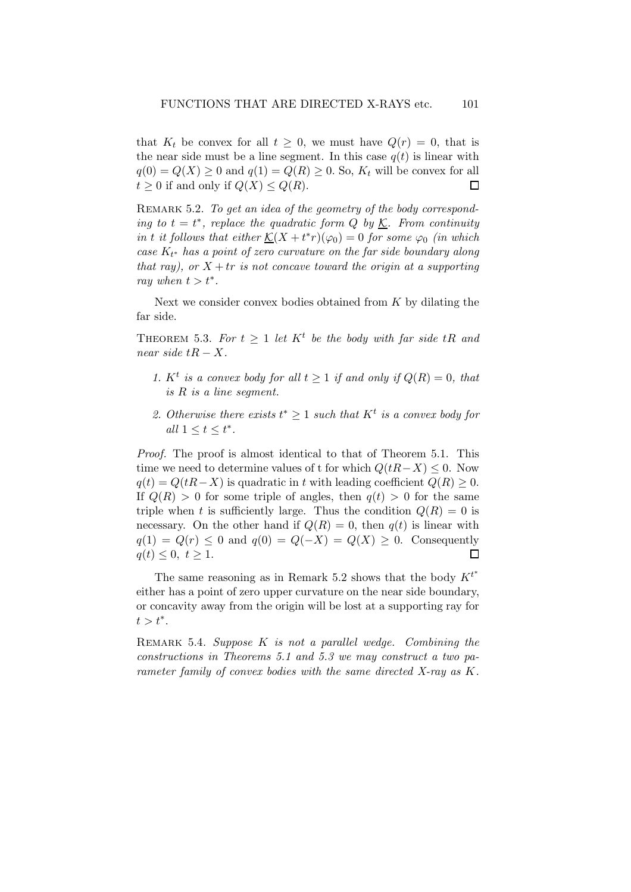that  $K_t$  be convex for all  $t \geq 0$ , we must have  $Q(r) = 0$ , that is the near side must be a line segment. In this case  $q(t)$  is linear with  $q(0) = Q(X) \ge 0$  and  $q(1) = Q(R) \ge 0$ . So,  $K_t$  will be convex for all  $t > 0$  if and only if  $Q(X) \le Q(R)$ .  $t \geq 0$  if and only if  $Q(X) \leq Q(R)$ .

REMARK 5.2. To get an idea of the geometry of the body corresponding to  $t = t^*$ , replace the quadratic form Q by  $\underline{\mathcal{K}}$ . From continuity in t it follows that either  $\underline{\mathcal{K}}(X + t^*r)(\varphi_0) = 0$  for some  $\varphi_0$  (in which case  $K_{t^*}$  has a point of zero curvature on the far side boundary along that ray), or  $X + tr$  is not concave toward the origin at a supporting ray when  $t > t^*$ .

Next we consider convex bodies obtained from  $K$  by dilating the far side.

THEOREM 5.3. For  $t \geq 1$  let  $K^t$  be the body with far side tR and near side  $tR - X$ .

- 1.  $K^t$  is a convex body for all  $t \geq 1$  if and only if  $Q(R) = 0$ , that is R is a line segment.
- 2. Otherwise there exists  $t^* \geq 1$  such that  $K^t$  is a convex body for all  $1 \leq t \leq t^*$ .

Proof. The proof is almost identical to that of Theorem 5.1. This time we need to determine values of t for which  $Q(tR-X) \leq 0$ . Now  $q(t) = Q(tR-X)$  is quadratic in t with leading coefficient  $Q(R) \geq 0$ . If  $Q(R) > 0$  for some triple of angles, then  $q(t) > 0$  for the same triple when t is sufficiently large. Thus the condition  $Q(R) = 0$  is necessary. On the other hand if  $Q(R) = 0$ , then  $q(t)$  is linear with  $q(1) = Q(r) \le 0$  and  $q(0) = Q(-X) = Q(X) \ge 0$ . Consequently  $q(t) < 0, t > 1$ .  $q(t) \leq 0, t \geq 1.$ 

The same reasoning as in Remark 5.2 shows that the body  $K^{t^*}$ either has a point of zero upper curvature on the near side boundary, or concavity away from the origin will be lost at a supporting ray for  $t > t^*$ .

REMARK 5.4. Suppose  $K$  is not a parallel wedge. Combining the constructions in Theorems 5.1 and 5.3 we may construct a two parameter family of convex bodies with the same directed X-ray as K.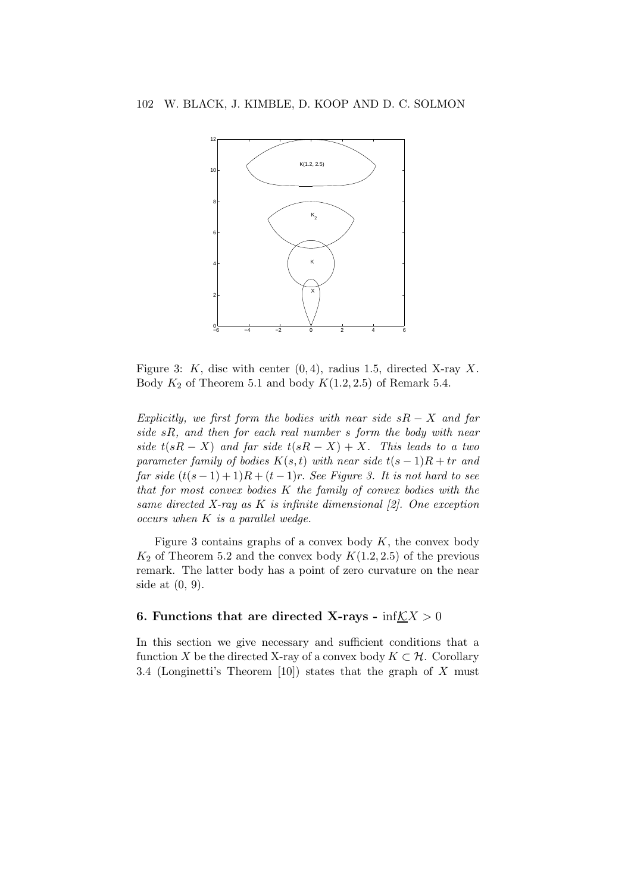

Figure 3: K, disc with center  $(0, 4)$ , radius 1.5, directed X-ray X. Body  $K_2$  of Theorem 5.1 and body  $K(1.2, 2.5)$  of Remark 5.4.

Explicitly, we first form the bodies with near side  $sR - X$  and far side  $sR$ , and then for each real number  $s$  form the body with near side  $t(sR - X)$  and far side  $t(sR - X) + X$ . This leads to a two parameter family of bodies  $K(s,t)$  with near side  $t(s-1)R + tr$  and far side  $(t(s-1)+1)R+(t-1)r$ . See Figure 3. It is not hard to see that for most convex bodies K the family of convex bodies with the same directed X-ray as K is infinite dimensional  $[2]$ . One exception  $occurs when K is a parallel wedge.$ 

Figure 3 contains graphs of a convex body  $K$ , the convex body  $K_2$  of Theorem 5.2 and the convex body  $K(1.2, 2.5)$  of the previous remark. The latter body has a point of zero curvature on the near side at (0, 9).

## 6. Functions that are directed X-rays -  $\inf\mathcal{K}X > 0$

In this section we give necessary and sufficient conditions that a function X be the directed X-ray of a convex body  $K \subset \mathcal{H}$ . Corollary 3.4 (Longinetti's Theorem [10]) states that the graph of X must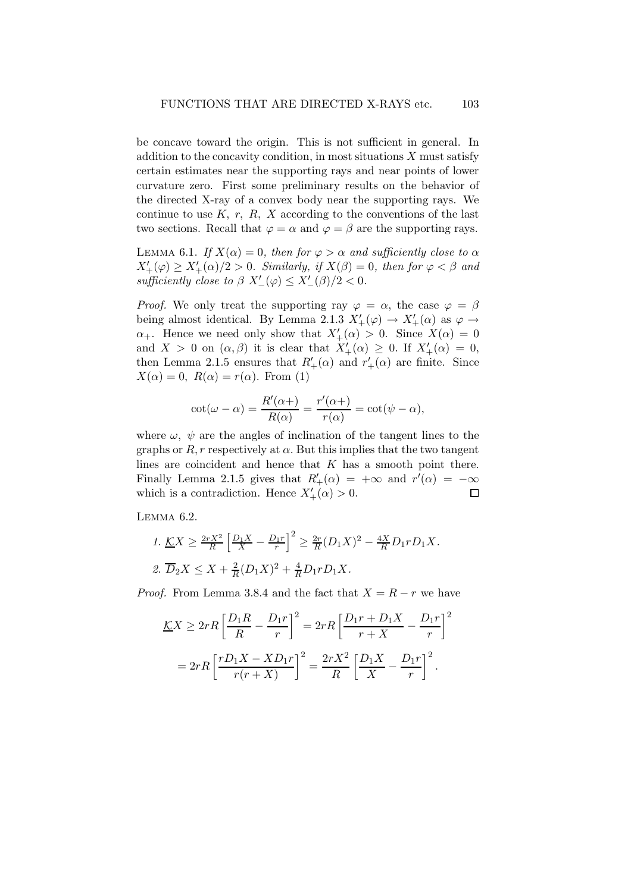be concave toward the origin. This is not sufficient in general. In addition to the concavity condition, in most situations  $X$  must satisfy certain estimates near the supporting rays and near points of lower curvature zero. First some preliminary results on the behavior of the directed X-ray of a convex body near the supporting rays. We continue to use  $K, r, R, X$  according to the conventions of the last two sections. Recall that  $\varphi = \alpha$  and  $\varphi = \beta$  are the supporting rays.

LEMMA 6.1. If  $X(\alpha) = 0$ , then for  $\varphi > \alpha$  and sufficiently close to  $\alpha$  $X'_{+}(\varphi) \geq X'_{+}(\alpha)/2 > 0$ . Similarly, if  $X(\beta) = 0$ , then for  $\varphi < \beta$  and sufficiently close to  $\beta$   $X'_{-}(\varphi) \leq X'_{-}(\beta)/2 < 0$ .

*Proof.* We only treat the supporting ray  $\varphi = \alpha$ , the case  $\varphi = \beta$ being almost identical. By Lemma 2.1.3  $X'_{+}(\varphi) \to X'_{+}(\alpha)$  as  $\varphi \to$  $\alpha_+$ . Hence we need only show that  $X'_{+}(\alpha) > 0$ . Since  $X(\alpha) = 0$ and  $X > 0$  on  $(\alpha, \beta)$  it is clear that  $X'_{+}(\alpha) \geq 0$ . If  $X'_{+}(\alpha) = 0$ , then Lemma 2.1.5 ensures that  $R'_{+}(\alpha)$  and  $r'_{+}(\alpha)$  are finite. Since  $X(\alpha) = 0$ ,  $R(\alpha) = r(\alpha)$ . From (1)

$$
\cot(\omega - \alpha) = \frac{R'(\alpha +)}{R(\alpha)} = \frac{r'(\alpha +)}{r(\alpha)} = \cot(\psi - \alpha),
$$

where  $\omega$ ,  $\psi$  are the angles of inclination of the tangent lines to the graphs or  $R, r$  respectively at  $\alpha$ . But this implies that the two tangent lines are coincident and hence that  $K$  has a smooth point there. Finally Lemma 2.1.5 gives that  $R'_{+}(\alpha) = +\infty$  and  $r'(\alpha) = -\infty$ which is a contradiction. Hence  $X'_{+}(\alpha) > 0$ .

Lemma 6.2.

1. 
$$
\underline{K}X \ge \frac{2rX^2}{R} \left[ \frac{D_1X}{X} - \frac{D_1r}{r} \right]^2 \ge \frac{2r}{R}(D_1X)^2 - \frac{4X}{R}D_1rD_1X.
$$
  
2.  $\overline{D}_2X \le X + \frac{2}{R}(D_1X)^2 + \frac{4}{R}D_1rD_1X.$ 

*Proof.* From Lemma 3.8.4 and the fact that  $X = R - r$  we have

$$
\underline{K}X \ge 2rR \left[ \frac{D_1R}{R} - \frac{D_1r}{r} \right]^2 = 2rR \left[ \frac{D_1r + D_1X}{r + X} - \frac{D_1r}{r} \right]^2
$$

$$
= 2rR \left[ \frac{rD_1X - XD_1r}{r(r + X)} \right]^2 = \frac{2rX^2}{R} \left[ \frac{D_1X}{X} - \frac{D_1r}{r} \right]^2.
$$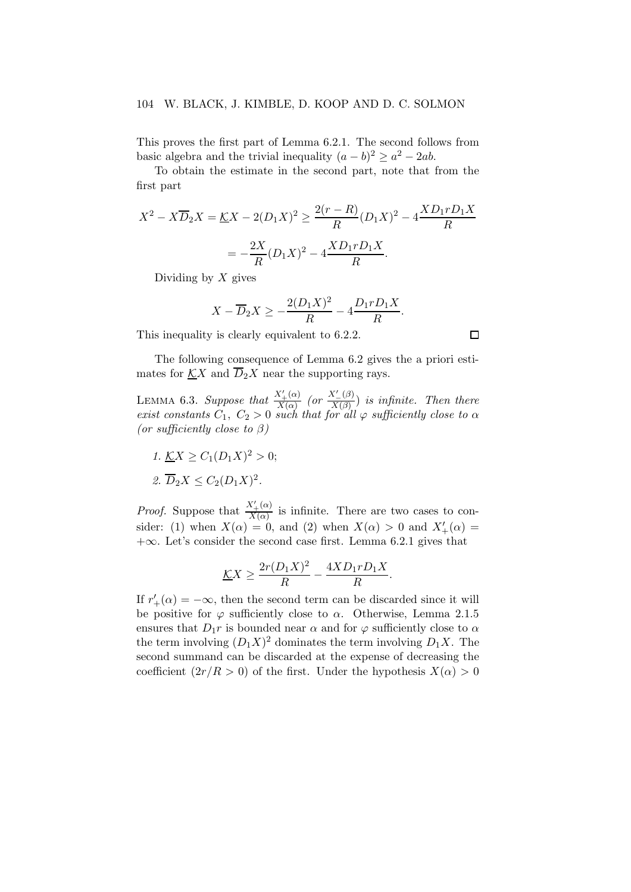#### 104 W. BLACK, J. KIMBLE, D. KOOP AND D. C. SOLMON

This proves the first part of Lemma 6.2.1. The second follows from basic algebra and the trivial inequality  $(a - b)^2 \ge a^2 - 2ab$ .

To obtain the estimate in the second part, note that from the first part

$$
X^{2} - X\overline{D}_{2}X = \underline{K}X - 2(D_{1}X)^{2} \ge \frac{2(r - R)}{R}(D_{1}X)^{2} - 4\frac{XD_{1}rD_{1}X}{R}
$$

$$
= -\frac{2X}{R}(D_{1}X)^{2} - 4\frac{XD_{1}rD_{1}X}{R}.
$$

Dividing by  $X$  gives

$$
X - \overline{D}_2 X \ge -\frac{2(D_1 X)^2}{R} - 4\frac{D_1 r D_1 X}{R}.
$$

This inequality is clearly equivalent to 6.2.2.

The following consequence of Lemma 6.2 gives the a priori estimates for  $\underline{K}X$  and  $\overline{D}_2X$  near the supporting rays.

LEMMA 6.3. Suppose that  $\frac{X'_{+}(\alpha)}{X(\alpha)}$  $\frac{X'_{+}(\alpha)}{X(\alpha)}$  (or  $\frac{X'_{-}(\beta)}{X(\beta)}$  $\frac{X_-(\beta)}{X(\beta)}$  is infinite. Then there exist constants  $C_1, C_2 > 0$  such that for all  $\varphi$  sufficiently close to  $\alpha$ (or sufficiently close to  $\beta$ )

- 1.  $\underline{K}X \ge C_1(D_1X)^2 > 0;$
- 2.  $\overline{D}_2 X \leq C_2 (D_1 X)^2$ .

*Proof.* Suppose that  $\frac{X'_{+}(\alpha)}{X(\alpha)}$  $\frac{X_{+}^{(1)}(x)}{X_{\alpha}}$  is infinite. There are two cases to consider: (1) when  $X(\alpha) = 0$ , and (2) when  $X(\alpha) > 0$  and  $X'_{+}(\alpha) =$  $+\infty$ . Let's consider the second case first. Lemma 6.2.1 gives that

$$
\underline{K}X \ge \frac{2r(D_1X)^2}{R} - \frac{4XD_1rD_1X}{R}
$$

.

If  $r'_{+}(\alpha) = -\infty$ , then the second term can be discarded since it will be positive for  $\varphi$  sufficiently close to  $\alpha$ . Otherwise, Lemma 2.1.5 ensures that  $D_1r$  is bounded near  $\alpha$  and for  $\varphi$  sufficiently close to  $\alpha$ the term involving  $(D_1X)^2$  dominates the term involving  $D_1X$ . The second summand can be discarded at the expense of decreasing the coefficient  $(2r/R > 0)$  of the first. Under the hypothesis  $X(\alpha) > 0$ 

 $\Box$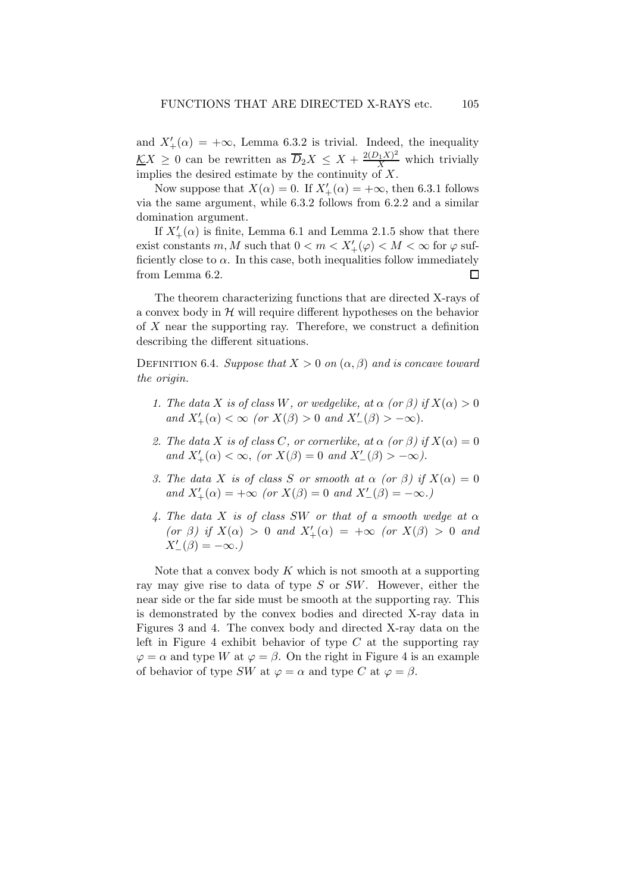and  $X'_{+}(\alpha) = +\infty$ , Lemma 6.3.2 is trivial. Indeed, the inequality  $\underline{K}X \geq 0$  can be rewritten as  $\overline{D}_2X \leq X + \frac{2(D_1X)^2}{X}$  which trivially implies the desired estimate by the continuity of  $\overrightarrow{X}$ .

Now suppose that  $X(\alpha) = 0$ . If  $X'_{+}(\alpha) = +\infty$ , then 6.3.1 follows via the same argument, while 6.3.2 follows from 6.2.2 and a similar domination argument.

If  $X'_{+}(\alpha)$  is finite, Lemma 6.1 and Lemma 2.1.5 show that there exist constants  $m, M$  such that  $0 < m < X'_+(\varphi) < M < \infty$  for  $\varphi$  sufficiently close to  $\alpha$ . In this case, both inequalities follow immediately from Lemma 6.2.  $\Box$ 

The theorem characterizing functions that are directed X-rays of a convex body in  $H$  will require different hypotheses on the behavior of X near the supporting ray. Therefore, we construct a definition describing the different situations.

DEFINITION 6.4. Suppose that  $X > 0$  on  $(\alpha, \beta)$  and is concave toward the origin.

- 1. The data X is of class W, or wedgelike, at  $\alpha$  (or  $\beta$ ) if  $X(\alpha) > 0$ and  $X'_{+}(\alpha) < \infty$  (or  $X(\beta) > 0$  and  $X'_{-}(\beta) > -\infty$ ).
- 2. The data X is of class C, or cornerlike, at  $\alpha$  (or  $\beta$ ) if  $X(\alpha) = 0$ and  $X'_{+}(\alpha) < \infty$ , (or  $X(\beta) = 0$  and  $X'_{-}(\beta) > -\infty$ ).
- 3. The data X is of class S or smooth at  $\alpha$  (or  $\beta$ ) if  $X(\alpha) = 0$ and  $X'_{+}(\alpha) = +\infty$  (or  $X(\beta) = 0$  and  $X'_{-}(\beta) = -\infty$ .)
- 4. The data X is of class SW or that of a smooth wedge at  $\alpha$ (or  $\beta$ ) if  $X(\alpha) > 0$  and  $X'_{+}(\alpha) = +\infty$  (or  $X(\beta) > 0$  and  $X'_{-}(\beta) = -\infty.$ )

Note that a convex body  $K$  which is not smooth at a supporting ray may give rise to data of type S or SW. However, either the near side or the far side must be smooth at the supporting ray. This is demonstrated by the convex bodies and directed X-ray data in Figures 3 and 4. The convex body and directed X-ray data on the left in Figure 4 exhibit behavior of type  $C$  at the supporting ray  $\varphi = \alpha$  and type W at  $\varphi = \beta$ . On the right in Figure 4 is an example of behavior of type SW at  $\varphi = \alpha$  and type C at  $\varphi = \beta$ .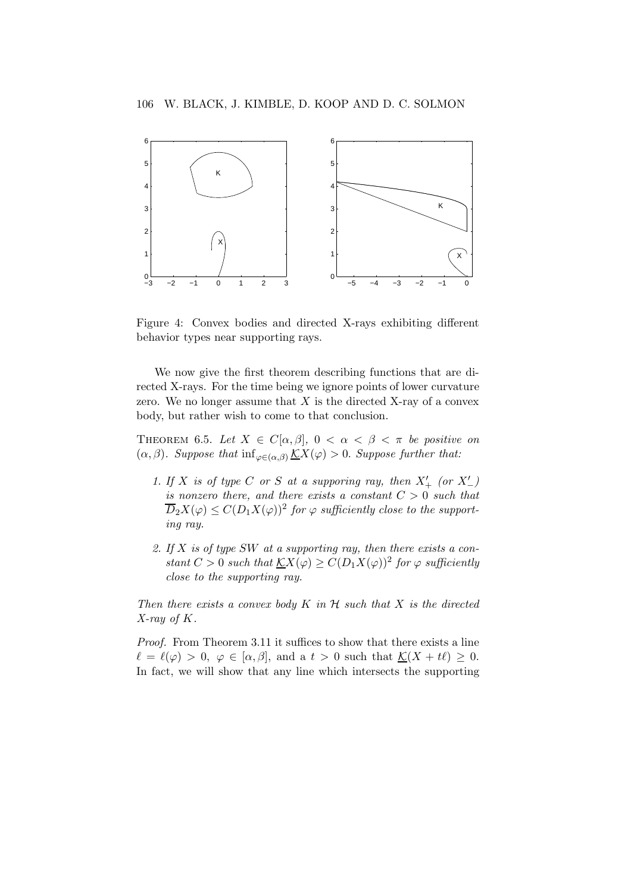

Figure 4: Convex bodies and directed X-rays exhibiting different behavior types near supporting rays.

We now give the first theorem describing functions that are directed X-rays. For the time being we ignore points of lower curvature zero. We no longer assume that  $X$  is the directed X-ray of a convex body, but rather wish to come to that conclusion.

THEOREM 6.5. Let  $X \in C[\alpha, \beta], 0 < \alpha < \beta < \pi$  be positive on  $(\alpha, \beta)$ . Suppose that  $\inf_{\varphi \in (\alpha, \beta)} \underline{\mathcal{K}}X(\varphi) > 0$ . Suppose further that:

- 1. If X is of type C or S at a supporing ray, then  $X'_{+}$  (or  $X'_{-}$ ) is nonzero there, and there exists a constant  $C > 0$  such that  $\overline{D}_2X(\varphi)\leq C(D_1X(\varphi))^2$  for  $\varphi$  sufficiently close to the supporting ray.
- 2. If  $X$  is of type SW at a supporting ray, then there exists a constant  $C > 0$  such that  $\underline{K}X(\varphi) \ge C(D_1X(\varphi))^2$  for  $\varphi$  sufficiently close to the supporting ray.

Then there exists a convex body  $K$  in  $H$  such that  $X$  is the directed  $X$ -ray of  $K$ .

Proof. From Theorem 3.11 it suffices to show that there exists a line  $\ell = \ell(\varphi) > 0, \varphi \in [\alpha, \beta],$  and a  $t > 0$  such that  $\underline{\mathcal{K}}(X + t\ell) \geq 0.$ In fact, we will show that any line which intersects the supporting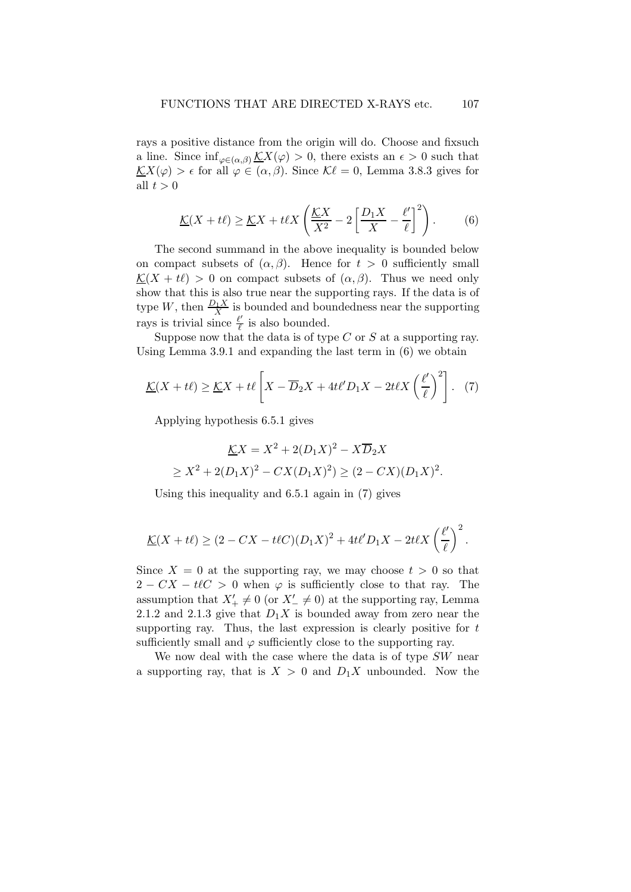rays a positive distance from the origin will do. Choose and fixsuch a line. Since  $\inf_{\varphi\in(\alpha,\beta)}\underline{\mathcal{K}}X(\varphi)>0$ , there exists an  $\epsilon>0$  such that  $\underline{\mathcal{K}}X(\varphi) > \epsilon$  for all  $\varphi \in (\alpha, \beta)$ . Since  $\mathcal{K}\ell = 0$ , Lemma 3.8.3 gives for all  $t > 0$ 

$$
\underline{\mathcal{K}}(X+t\ell) \ge \underline{\mathcal{K}}X + t\ell X \left(\frac{\underline{\mathcal{K}}X}{X^2} - 2\left[\frac{D_1X}{X} - \frac{\ell'}{\ell}\right]^2\right). \tag{6}
$$

The second summand in the above inequality is bounded below on compact subsets of  $(\alpha, \beta)$ . Hence for  $t > 0$  sufficiently small  $\underline{\mathcal{K}}(X + t\ell) > 0$  on compact subsets of  $(\alpha, \beta)$ . Thus we need only show that this is also true near the supporting rays. If the data is of type W, then  $\frac{D_1 X}{X}$  is bounded and boundedness near the supporting rays is trivial since  $\frac{\ell'}{\ell}$  $\frac{\ell'}{\ell}$  is also bounded.

Suppose now that the data is of type  $C$  or  $S$  at a supporting ray. Using Lemma 3.9.1 and expanding the last term in (6) we obtain

$$
\underline{\mathcal{K}}(X+t\ell) \ge \underline{\mathcal{K}}X+t\ell \left[X-\overline{D}_2X+4t\ell'D_1X-2t\ell X\left(\frac{\ell'}{\ell}\right)^2\right]. \tag{7}
$$

Applying hypothesis 6.5.1 gives

$$
\underline{K}X = X^2 + 2(D_1X)^2 - X\overline{D}_2X
$$
  
\n
$$
\geq X^2 + 2(D_1X)^2 - CX(D_1X)^2 \geq (2 - CX)(D_1X)^2.
$$

Using this inequality and 6.5.1 again in (7) gives

$$
\underline{\mathcal{K}}(X+t\ell) \geq (2-CX-t\ell C)(D_1X)^2+4t\ell'D_1X-2t\ell X\left(\frac{\ell'}{\ell}\right)^2.
$$

Since  $X = 0$  at the supporting ray, we may choose  $t > 0$  so that  $2 - CX - t\ell C > 0$  when  $\varphi$  is sufficiently close to that ray. The assumption that  $X'_{+} \neq 0$  (or  $X'_{-} \neq 0$ ) at the supporting ray, Lemma 2.1.2 and 2.1.3 give that  $D_1X$  is bounded away from zero near the supporting ray. Thus, the last expression is clearly positive for  $t$ sufficiently small and  $\varphi$  sufficiently close to the supporting ray.

We now deal with the case where the data is of type  $SW$  near a supporting ray, that is  $X > 0$  and  $D_1 X$  unbounded. Now the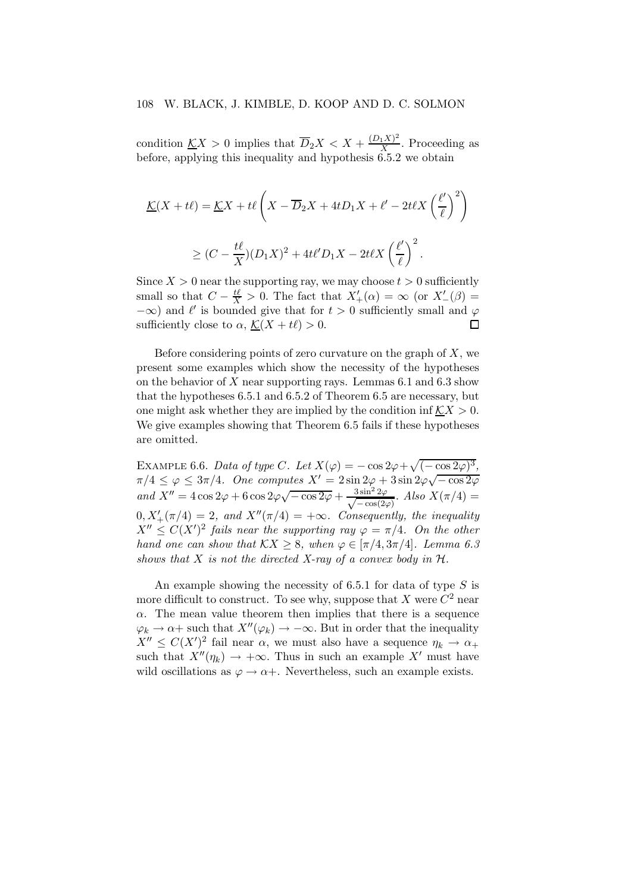condition  $\underline{K}X > 0$  implies that  $\overline{D}_2X < X + \frac{(D_1X)^2}{X}$  $\frac{1}{X}$ . Proceeding as before, applying this inequality and hypothesis  $\hat{6.5.2}$  we obtain

$$
\underline{\mathcal{K}}(X+t\ell) = \underline{\mathcal{K}}X + t\ell \left(X - \overline{D}_2X + 4tD_1X + \ell' - 2t\ell X \left(\frac{\ell'}{\ell}\right)^2\right)
$$
  

$$
\geq (C - \frac{t\ell}{X})(D_1X)^2 + 4t\ell'D_1X - 2t\ell X \left(\frac{\ell'}{\ell}\right)^2.
$$

Since  $X > 0$  near the supporting ray, we may choose  $t > 0$  sufficiently small so that  $C - \frac{t\ell}{X} > 0$ . The fact that  $X'_{+}(\alpha) = \infty$  (or  $X'_{-}(\beta) =$  $-\infty$ ) and  $\ell'$  is bounded give that for  $t > 0$  sufficiently small and  $\varphi$ sufficiently close to  $\alpha$ ,  $\underline{\mathcal{K}}(X + t\ell) > 0$ . □

Before considering points of zero curvature on the graph of  $X$ , we present some examples which show the necessity of the hypotheses on the behavior of X near supporting rays. Lemmas  $6.1$  and  $6.3$  show that the hypotheses 6.5.1 and 6.5.2 of Theorem 6.5 are necessary, but one might ask whether they are implied by the condition inf  $\mathcal{K}X > 0$ . We give examples showing that Theorem 6.5 fails if these hypotheses are omitted.

EXAMPLE 6.6. Data of type C. Let  $X(\varphi) = -\cos 2\varphi + \sqrt{(-\cos 2\varphi)^3}$ ,  $\pi/4 \leq \varphi \leq 3\pi/4$ . One computes  $X' = 2\sin 2\varphi + 3\sin 2\varphi\sqrt{-\cos 2\varphi}$ and  $X'' = 4 \cos 2\varphi + 6 \cos 2\varphi \sqrt{-\cos 2\varphi} + \frac{3 \sin^2 2\varphi}{\sqrt{-\cos(2\varphi)}}$  $\frac{3 \sin^2 2\varphi}{-\cos(2\varphi)}$ . Also  $X(\pi/4) =$  $0, X'_{+}(\pi/4) = 2$ , and  $X''(\pi/4) = +\infty$ . Consequently, the inequality  $X'' \leq C(X')^2$  fails near the supporting ray  $\varphi = \pi/4$ . On the other hand one can show that  $\mathcal{K}X \geq 8$ , when  $\varphi \in [\pi/4, 3\pi/4]$ . Lemma 6.3 shows that X is not the directed X-ray of a convex body in  $H$ .

An example showing the necessity of 6.5.1 for data of type  $S$  is more difficult to construct. To see why, suppose that X were  $C^2$  near  $\alpha$ . The mean value theorem then implies that there is a sequence  $\varphi_k \to \alpha +$  such that  $X''(\varphi_k) \to -\infty$ . But in order that the inequality  $X'' \leq C(X')^2$  fail near  $\alpha$ , we must also have a sequence  $\eta_k \to \alpha_+$ such that  $X''(\eta_k) \to +\infty$ . Thus in such an example X' must have wild oscillations as  $\varphi \to \alpha +$ . Nevertheless, such an example exists.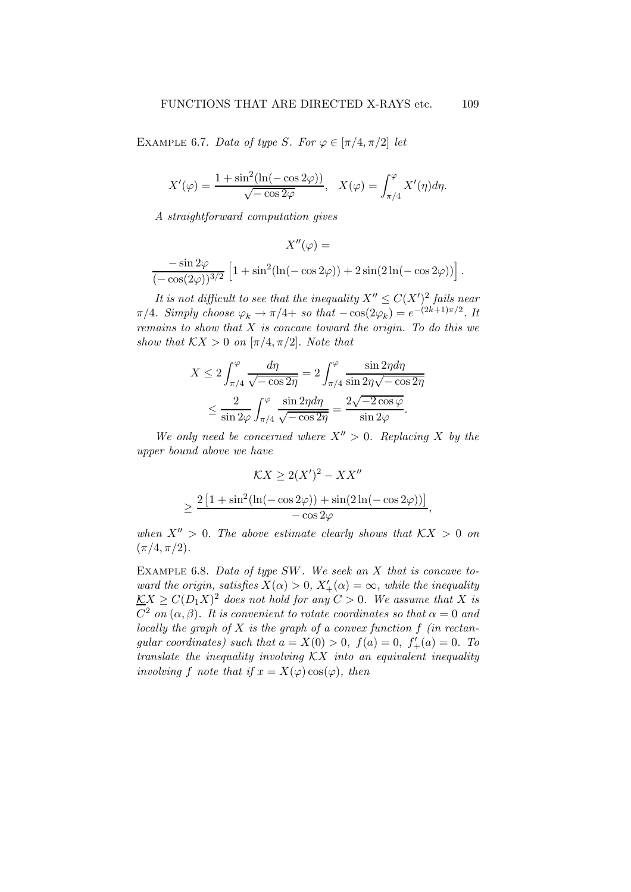EXAMPLE 6.7. Data of type S. For  $\varphi \in [\pi/4, \pi/2]$  let

$$
X'(\varphi) = \frac{1 + \sin^2(\ln(-\cos 2\varphi))}{\sqrt{-\cos 2\varphi}}, \quad X(\varphi) = \int_{\pi/4}^{\varphi} X'(\eta) d\eta.
$$

A straightforward computation gives

$$
X''(\varphi) =
$$
  

$$
\frac{-\sin 2\varphi}{(-\cos(2\varphi))^{3/2}} \left[1 + \sin^2(\ln(-\cos 2\varphi)) + 2\sin(2\ln(-\cos 2\varphi))\right].
$$

It is not difficult to see that the inequality  $X'' \n\leq C(X')^2$  fails near  $\pi/4$ . Simply choose  $\varphi_k \to \pi/4 + s$  so that  $-\cos(2\varphi_k) = e^{-(2k+1)\pi/2}$ . It remains to show that  $X$  is concave toward the origin. To do this we show that  $\mathcal{K}X > 0$  on  $[\pi/4, \pi/2]$ . Note that

$$
X \le 2 \int_{\pi/4}^{\varphi} \frac{d\eta}{\sqrt{-\cos 2\eta}} = 2 \int_{\pi/4}^{\varphi} \frac{\sin 2\eta d\eta}{\sin 2\eta \sqrt{-\cos 2\eta}}
$$

$$
\le \frac{2}{\sin 2\varphi} \int_{\pi/4}^{\varphi} \frac{\sin 2\eta d\eta}{\sqrt{-\cos 2\eta}} = \frac{2\sqrt{-2\cos \varphi}}{\sin 2\varphi}.
$$

We only need be concerned where  $X'' > 0$ . Replacing X by the upper bound above we have

$$
\mathcal{K}X \ge 2(X')^2 - XX''
$$

$$
\ge \frac{2\left[1 + \sin^2(\ln(-\cos 2\varphi)) + \sin(2\ln(-\cos 2\varphi))\right]}{-\cos 2\varphi},
$$

when  $X'' > 0$ . The above estimate clearly shows that  $\mathcal{K}X > 0$  on  $(\pi/4, \pi/2).$ 

EXAMPLE 6.8. Data of type SW. We seek an X that is concave toward the origin, satisfies  $X(\alpha) > 0$ ,  $X'_{+}(\alpha) = \infty$ , while the inequality  $\underline{K}X \geq C(D_1X)^2$  does not hold for any  $C > 0$ . We assume that X is  $C^2$  on  $(\alpha, \beta)$ . It is convenient to rotate coordinates so that  $\alpha = 0$  and locally the graph of  $X$  is the graph of a convex function  $f$  (in rectangular coordinates) such that  $a = X(0) > 0$ ,  $f(a) = 0$ ,  $f'_{+}(a) = 0$ . To translate the inequality involving  $\mathcal{K}X$  into an equivalent inequality involving f note that if  $x = X(\varphi) \cos(\varphi)$ , then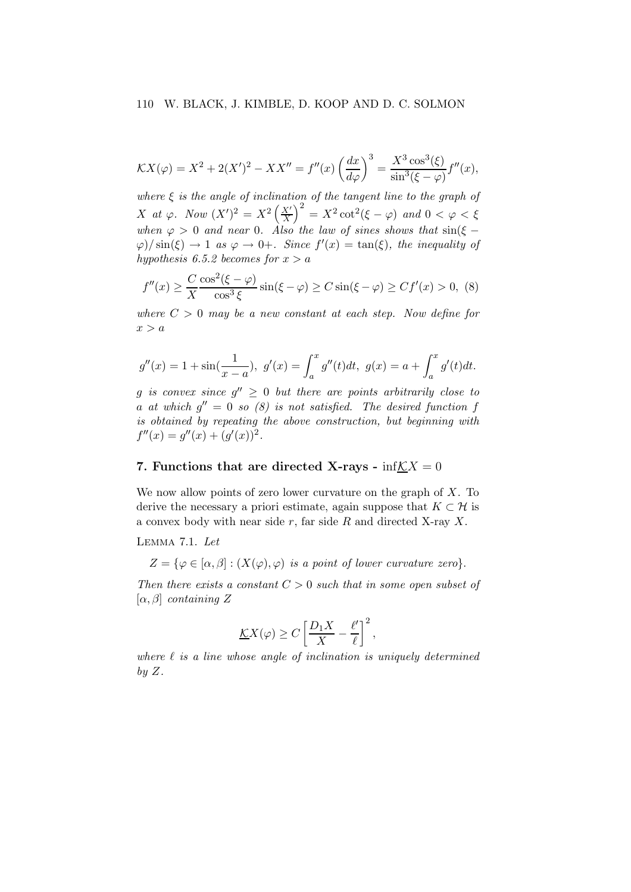$$
\mathcal{K}X(\varphi) = X^2 + 2(X')^2 - XX'' = f''(x) \left(\frac{dx}{d\varphi}\right)^3 = \frac{X^3 \cos^3(\xi)}{\sin^3(\xi - \varphi)} f''(x),
$$

where  $\xi$  is the angle of inclination of the tangent line to the graph of X at  $\varphi$ . Now  $(X')^2 = X^2 \left(\frac{X'}{X}\right)$  $\left(\frac{X'}{X}\right)^2 = X^2 \cot^2(\xi - \varphi)$  and  $0 < \varphi < \xi$ when  $\varphi > 0$  and near 0. Also the law of sines shows that  $\sin(\xi \varphi$ / $\sin(\xi) \to 1$  as  $\varphi \to 0+$ . Since  $f'(x) = \tan(\xi)$ , the inequality of hypothesis 6.5.2 becomes for  $x > a$ 

$$
f''(x) \ge \frac{C \cos^2(\xi - \varphi)}{X \cos^3 \xi} \sin(\xi - \varphi) \ge C \sin(\xi - \varphi) \ge Cf'(x) > 0, \tag{8}
$$

where  $C > 0$  may be a new constant at each step. Now define for  $x > a$ 

$$
g''(x) = 1 + \sin(\frac{1}{x-a}), \ g'(x) = \int_a^x g''(t)dt, \ g(x) = a + \int_a^x g'(t)dt.
$$

g is convex since  $g'' \geq 0$  but there are points arbitrarily close to a at which  $g'' = 0$  so  $(8)$  is not satisfied. The desired function f is obtained by repeating the above construction, but beginning with  $f''(x) = g''(x) + (g'(x))^2$ .

# 7. Functions that are directed X-rays -  $\inf\mathcal{K}X=0$

We now allow points of zero lower curvature on the graph of  $X$ . To derive the necessary a priori estimate, again suppose that  $K \subset \mathcal{H}$  is a convex body with near side  $r$ , far side  $R$  and directed X-ray  $X$ .

Lemma 7.1. Let

 $Z = \{ \varphi \in [\alpha, \beta] : (X(\varphi), \varphi)$  is a point of lower curvature zero.

Then there exists a constant  $C > 0$  such that in some open subset of  $[\alpha, \beta]$  containing Z

$$
\underline{K}X(\varphi) \ge C \left[ \frac{D_1 X}{X} - \frac{\ell'}{\ell} \right]^2,
$$

where  $\ell$  is a line whose angle of inclination is uniquely determined by  $Z$ .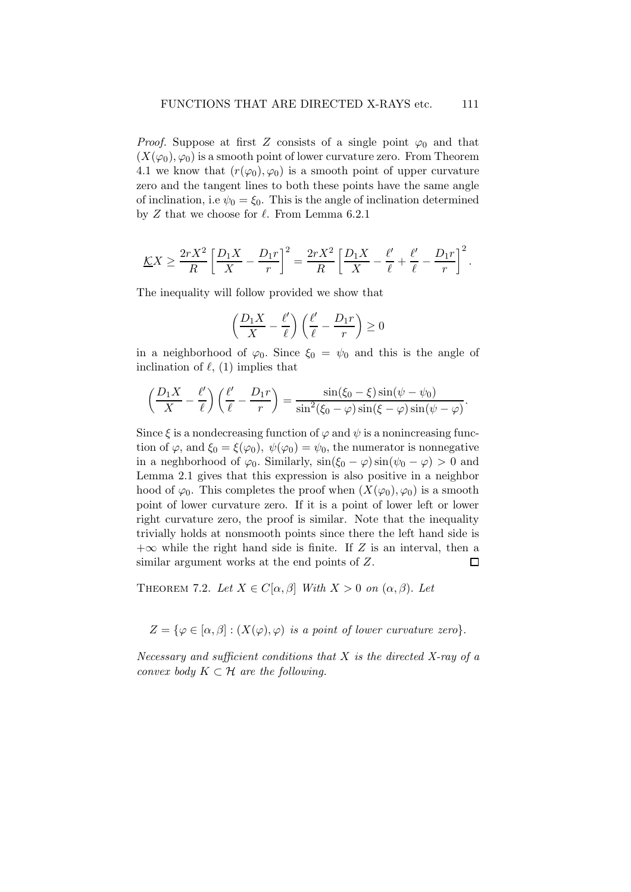*Proof.* Suppose at first Z consists of a single point  $\varphi_0$  and that  $(X(\varphi_0), \varphi_0)$  is a smooth point of lower curvature zero. From Theorem 4.1 we know that  $(r(\varphi_0), \varphi_0)$  is a smooth point of upper curvature zero and the tangent lines to both these points have the same angle of inclination, i.e  $\psi_0 = \xi_0$ . This is the angle of inclination determined by Z that we choose for  $\ell$ . From Lemma 6.2.1

$$
\underline{K}X \ge \frac{2rX^2}{R} \left[ \frac{D_1X}{X} - \frac{D_1r}{r} \right]^2 = \frac{2rX^2}{R} \left[ \frac{D_1X}{X} - \frac{\ell'}{\ell} + \frac{\ell'}{\ell} - \frac{D_1r}{r} \right]^2.
$$

The inequality will follow provided we show that

$$
\left(\frac{D_1X}{X} - \frac{\ell'}{\ell}\right)\left(\frac{\ell'}{\ell} - \frac{D_1r}{r}\right) \ge 0
$$

in a neighborhood of  $\varphi_0$ . Since  $\xi_0 = \psi_0$  and this is the angle of inclination of  $\ell$ , (1) implies that

$$
\left(\frac{D_1X}{X}-\frac{\ell'}{\ell}\right)\left(\frac{\ell'}{\ell}-\frac{D_1r}{r}\right)=\frac{\sin(\xi_0-\xi)\sin(\psi-\psi_0)}{\sin^2(\xi_0-\varphi)\sin(\xi-\varphi)\sin(\psi-\varphi)}.
$$

Since  $\xi$  is a nondecreasing function of  $\varphi$  and  $\psi$  is a nonincreasing function of  $\varphi$ , and  $\xi_0 = \xi(\varphi_0)$ ,  $\psi(\varphi_0) = \psi_0$ , the numerator is nonnegative in a neghborhood of  $\varphi_0$ . Similarly,  $\sin(\xi_0 - \varphi) \sin(\psi_0 - \varphi) > 0$  and Lemma 2.1 gives that this expression is also positive in a neighbor hood of  $\varphi_0$ . This completes the proof when  $(X(\varphi_0), \varphi_0)$  is a smooth point of lower curvature zero. If it is a point of lower left or lower right curvature zero, the proof is similar. Note that the inequality trivially holds at nonsmooth points since there the left hand side is  $+\infty$  while the right hand side is finite. If Z is an interval, then a similar argument works at the end points of Z. similar argument works at the end points of Z.

THEOREM 7.2. Let  $X \in C[\alpha, \beta]$  With  $X > 0$  on  $(\alpha, \beta)$ . Let

 $Z = \{ \varphi \in [\alpha, \beta] : (X(\varphi), \varphi)$  is a point of lower curvature zero.

Necessary and sufficient conditions that  $X$  is the directed  $X$ -ray of a convex body  $K \subset \mathcal{H}$  are the following.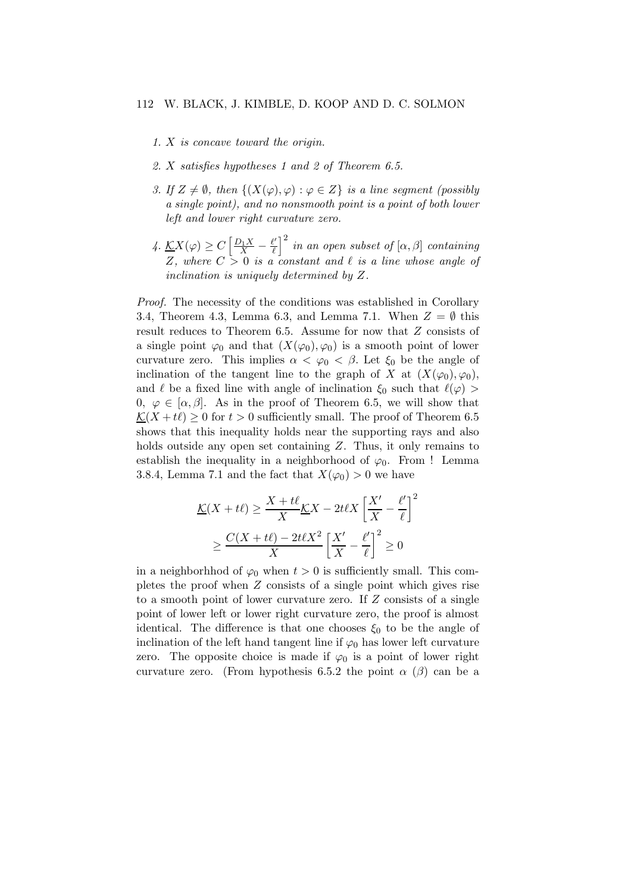- 1. X is concave toward the origin.
- 2. X satisfies hypotheses 1 and 2 of Theorem 6.5.
- 3. If  $Z \neq \emptyset$ , then  $\{(X(\varphi), \varphi) : \varphi \in Z\}$  is a line segment (possibly a single point), and no nonsmooth point is a point of both lower left and lower right curvature zero.
- $4. \underline{K}X(\varphi) \geq C \left[ \frac{D_1 X}{X} \frac{\ell'}{\ell} \right]$  $\left(\frac{\ell'}{\ell}\right)^2$  in an open subset of  $[\alpha,\beta]$  containing Z, where  $C > 0$  is a constant and  $\ell$  is a line whose angle of inclination is uniquely determined by Z.

Proof. The necessity of the conditions was established in Corollary 3.4, Theorem 4.3, Lemma 6.3, and Lemma 7.1. When  $Z = \emptyset$  this result reduces to Theorem 6.5. Assume for now that Z consists of a single point  $\varphi_0$  and that  $(X(\varphi_0), \varphi_0)$  is a smooth point of lower curvature zero. This implies  $\alpha < \varphi_0 < \beta$ . Let  $\xi_0$  be the angle of inclination of the tangent line to the graph of X at  $(X(\varphi_0),\varphi_0)$ , and  $\ell$  be a fixed line with angle of inclination  $\xi_0$  such that  $\ell(\varphi)$ 0,  $\varphi \in [\alpha, \beta]$ . As in the proof of Theorem 6.5, we will show that  $\underline{\mathcal{K}}(X + t\ell) \geq 0$  for  $t > 0$  sufficiently small. The proof of Theorem 6.5 shows that this inequality holds near the supporting rays and also holds outside any open set containing  $Z$ . Thus, it only remains to establish the inequality in a neighborhood of  $\varphi_0$ . From ! Lemma 3.8.4, Lemma 7.1 and the fact that  $X(\varphi_0) > 0$  we have

$$
\frac{\mathcal{K}(X+t\ell)}{\mathcal{K}} \ge \frac{X+t\ell}{X}\mathcal{K}X - 2t\ell X \left[\frac{X'}{X} - \frac{\ell'}{\ell}\right]^2
$$

$$
\ge \frac{C(X+t\ell) - 2t\ell X^2}{X} \left[\frac{X'}{X} - \frac{\ell'}{\ell}\right]^2 \ge 0
$$

in a neighborhood of  $\varphi_0$  when  $t > 0$  is sufficiently small. This completes the proof when Z consists of a single point which gives rise to a smooth point of lower curvature zero. If Z consists of a single point of lower left or lower right curvature zero, the proof is almost identical. The difference is that one chooses  $\xi_0$  to be the angle of inclination of the left hand tangent line if  $\varphi_0$  has lower left curvature zero. The opposite choice is made if  $\varphi_0$  is a point of lower right curvature zero. (From hypothesis 6.5.2 the point  $\alpha$  ( $\beta$ ) can be a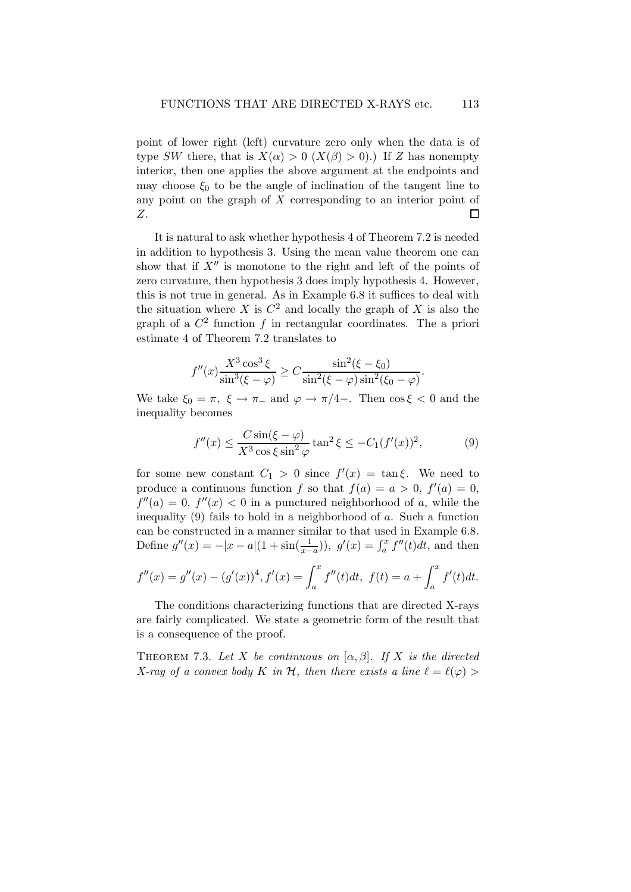point of lower right (left) curvature zero only when the data is of type SW there, that is  $X(\alpha) > 0$   $(X(\beta) > 0)$ .) If Z has nonempty interior, then one applies the above argument at the endpoints and may choose  $\xi_0$  to be the angle of inclination of the tangent line to any point on the graph of  $X$  corresponding to an interior point of Z.  $\Box$ 

It is natural to ask whether hypothesis 4 of Theorem 7.2 is needed in addition to hypothesis 3. Using the mean value theorem one can show that if  $X''$  is monotone to the right and left of the points of zero curvature, then hypothesis 3 does imply hypothesis 4. However, this is not true in general. As in Example 6.8 it suffices to deal with the situation where X is  $C^2$  and locally the graph of X is also the graph of a  $C^2$  function f in rectangular coordinates. The a priori estimate 4 of Theorem 7.2 translates to

$$
f''(x)\frac{X^3 \cos^3 \xi}{\sin^3(\xi - \varphi)} \ge C \frac{\sin^2(\xi - \xi_0)}{\sin^2(\xi - \varphi)\sin^2(\xi_0 - \varphi)}.
$$

We take  $\xi_0 = \pi$ ,  $\xi \to \pi$  and  $\varphi \to \pi/4$ -. Then cos  $\xi < 0$  and the inequality becomes

$$
f''(x) \le \frac{C \sin(\xi - \varphi)}{X^3 \cos \xi \sin^2 \varphi} \tan^2 \xi \le -C_1 (f'(x))^2,
$$
 (9)

for some new constant  $C_1 > 0$  since  $f'(x) = \tan \xi$ . We need to produce a continuous function f so that  $f(a) = a > 0$ ,  $f'(a) = 0$ ,  $f''(a) = 0, f''(x) < 0$  in a punctured neighborhood of a, while the inequality (9) fails to hold in a neighborhood of  $a$ . Such a function can be constructed in a manner similar to that used in Example 6.8. Define  $g''(x) = -|x - a|(1 + \sin(\frac{1}{x-a}))$ ,  $g'(x) = \int_a^x f''(t)dt$ , and then

$$
f''(x) = g''(x) - (g'(x))^4, f'(x) = \int_a^x f''(t)dt, \ f(t) = a + \int_a^x f'(t)dt.
$$

The conditions characterizing functions that are directed X-rays are fairly complicated. We state a geometric form of the result that is a consequence of the proof.

THEOREM 7.3. Let X be continuous on  $[\alpha, \beta]$ . If X is the directed X-ray of a convex body K in H, then there exists a line  $\ell = \ell(\varphi)$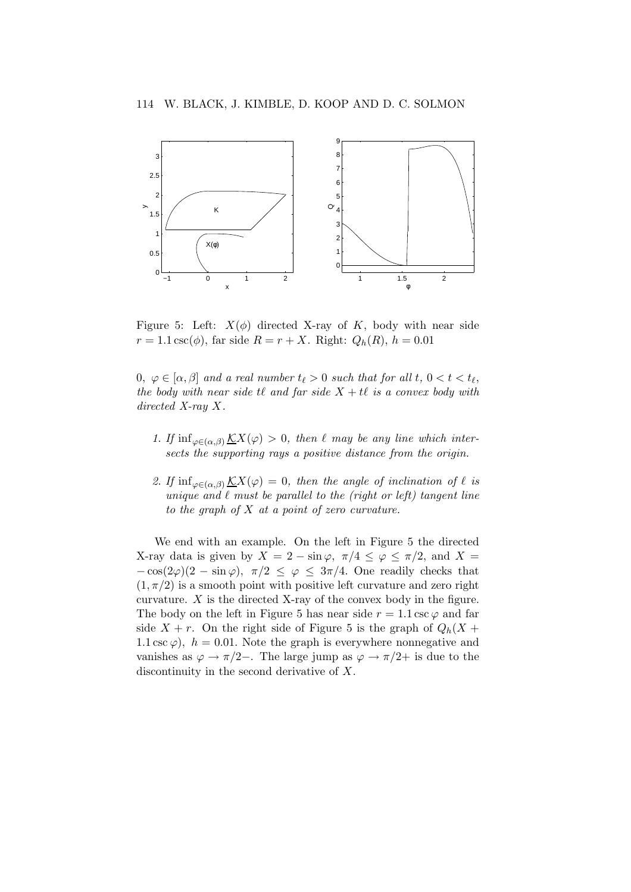

Figure 5: Left:  $X(\phi)$  directed X-ray of K, body with near side  $r = 1.1 \csc(\phi)$ , far side  $R = r + X$ . Right:  $Q_h(R)$ ,  $h = 0.01$ 

 $0, \varphi \in [\alpha, \beta]$  and a real number  $t_\ell > 0$  such that for all  $t, 0 < t < t_\ell$ , the body with near side  $t\ell$  and far side  $X + t\ell$  is a convex body with directed X-ray X.

- 1. If  $\inf_{\varphi \in (\alpha, \beta)} \underline{\mathcal{K}}X(\varphi) > 0$ , then  $\ell$  may be any line which intersects the supporting rays a positive distance from the origin.
- 2. If  $\inf_{\varphi \in (\alpha, \beta)} \underline{\mathcal{K}}X(\varphi) = 0$ , then the angle of inclination of  $\ell$  is unique and  $\ell$  must be parallel to the (right or left) tangent line to the graph of  $X$  at a point of zero curvature.

We end with an example. On the left in Figure 5 the directed X-ray data is given by  $X = 2 - \sin \varphi$ ,  $\pi/4 \leq \varphi \leq \pi/2$ , and  $X =$  $-\cos(2\varphi)(2-\sin\varphi), \pi/2 \leq \varphi \leq 3\pi/4.$  One readily checks that  $(1, \pi/2)$  is a smooth point with positive left curvature and zero right curvature.  $X$  is the directed X-ray of the convex body in the figure. The body on the left in Figure 5 has near side  $r = 1.1 \csc \varphi$  and far side  $X + r$ . On the right side of Figure 5 is the graph of  $Q_h(X + r)$ 1.1 csc  $\varphi$ ),  $h = 0.01$ . Note the graph is everywhere nonnegative and vanishes as  $\varphi \to \pi/2-$ . The large jump as  $\varphi \to \pi/2+$  is due to the discontinuity in the second derivative of X.